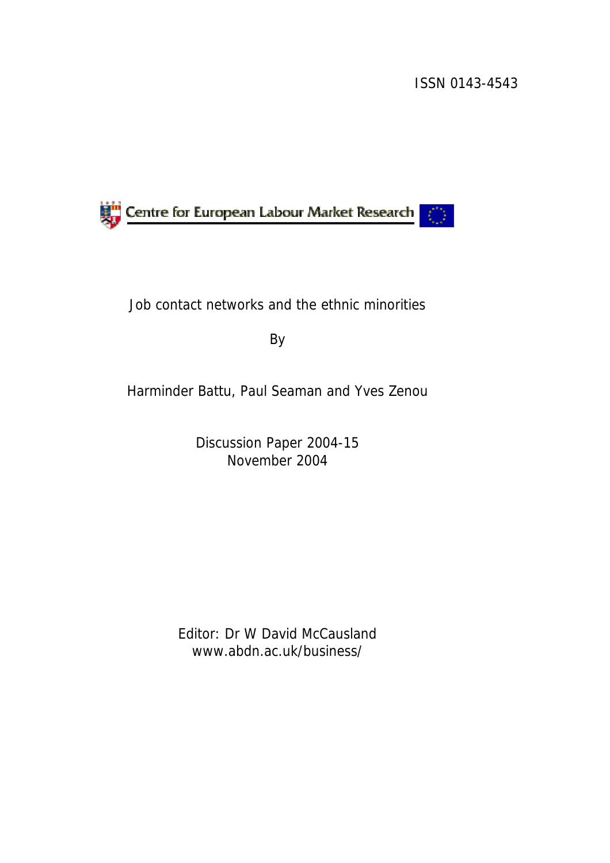### ISSN 0143-4543



# Job contact networks and the ethnic minorities

By

Harminder Battu, Paul Seaman and Yves Zenou

Discussion Paper 2004-15 November 2004

Editor: Dr W David McCausland www.abdn.ac.uk/business/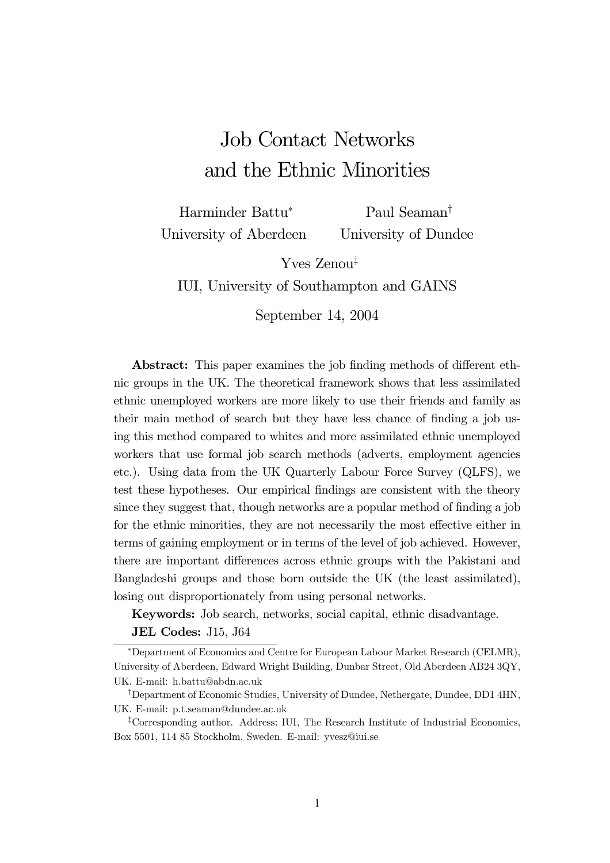# Job Contact Networks and the Ethnic Minorities

Harminder Battu<sup>∗</sup> University of Aberdeen Paul Seaman† University of Dundee

Yves Zenou‡ IUI, University of Southampton and GAINS

September 14, 2004

Abstract: This paper examines the job finding methods of different ethnic groups in the UK. The theoretical framework shows that less assimilated ethnic unemployed workers are more likely to use their friends and family as their main method of search but they have less chance of finding a job using this method compared to whites and more assimilated ethnic unemployed workers that use formal job search methods (adverts, employment agencies etc.). Using data from the UK Quarterly Labour Force Survey (QLFS), we test these hypotheses. Our empirical findings are consistent with the theory since they suggest that, though networks are a popular method of finding a job for the ethnic minorities, they are not necessarily the most effective either in terms of gaining employment or in terms of the level of job achieved. However, there are important differences across ethnic groups with the Pakistani and Bangladeshi groups and those born outside the UK (the least assimilated), losing out disproportionately from using personal networks.

Keywords: Job search, networks, social capital, ethnic disadvantage.

#### JEL Codes: J15, J64

<sup>∗</sup>Department of Economics and Centre for European Labour Market Research (CELMR), University of Aberdeen, Edward Wright Building, Dunbar Street, Old Aberdeen AB24 3QY, UK. E-mail: h.battu@abdn.ac.uk

<sup>†</sup>Department of Economic Studies, University of Dundee, Nethergate, Dundee, DD1 4HN, UK. E-mail: p.t.seaman@dundee.ac.uk

<sup>‡</sup>Corresponding author. Address: IUI, The Research Institute of Industrial Economics, Box 5501, 114 85 Stockholm, Sweden. E-mail: yvesz@iui.se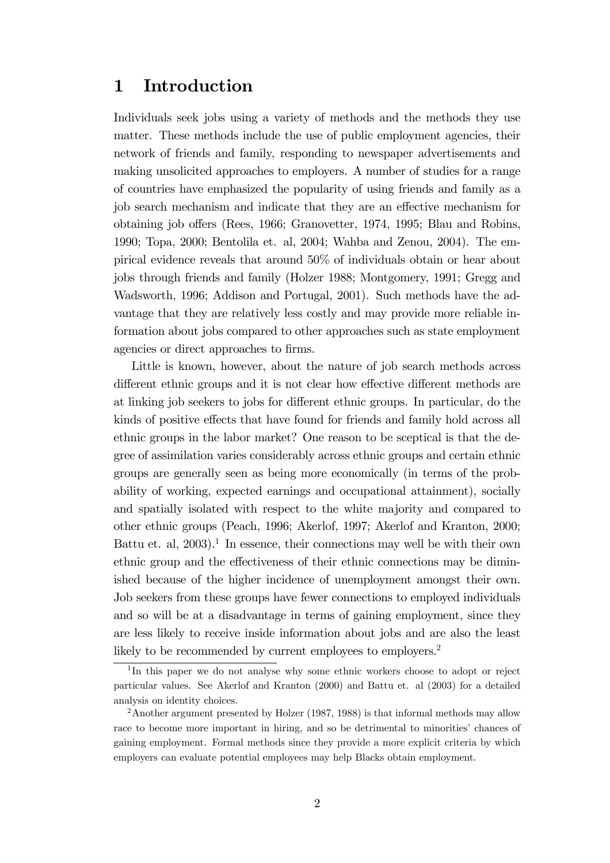# 1 Introduction

Individuals seek jobs using a variety of methods and the methods they use matter. These methods include the use of public employment agencies, their network of friends and family, responding to newspaper advertisements and making unsolicited approaches to employers. A number of studies for a range of countries have emphasized the popularity of using friends and family as a job search mechanism and indicate that they are an effective mechanism for obtaining job offers (Rees, 1966; Granovetter, 1974, 1995; Blau and Robins, 1990; Topa, 2000; Bentolila et. al, 2004; Wahba and Zenou, 2004). The empirical evidence reveals that around 50% of individuals obtain or hear about jobs through friends and family (Holzer 1988; Montgomery, 1991; Gregg and Wadsworth, 1996; Addison and Portugal, 2001). Such methods have the advantage that they are relatively less costly and may provide more reliable information about jobs compared to other approaches such as state employment agencies or direct approaches to firms.

Little is known, however, about the nature of job search methods across different ethnic groups and it is not clear how effective different methods are at linking job seekers to jobs for different ethnic groups. In particular, do the kinds of positive effects that have found for friends and family hold across all ethnic groups in the labor market? One reason to be sceptical is that the degree of assimilation varies considerably across ethnic groups and certain ethnic groups are generally seen as being more economically (in terms of the probability of working, expected earnings and occupational attainment), socially and spatially isolated with respect to the white majority and compared to other ethnic groups (Peach, 1996; Akerlof, 1997; Akerlof and Kranton, 2000; Battu et. al,  $2003$ <sup>1</sup>. In essence, their connections may well be with their own ethnic group and the effectiveness of their ethnic connections may be diminished because of the higher incidence of unemployment amongst their own. Job seekers from these groups have fewer connections to employed individuals and so will be at a disadvantage in terms of gaining employment, since they are less likely to receive inside information about jobs and are also the least likely to be recommended by current employees to employers.<sup>2</sup>

<sup>&</sup>lt;sup>1</sup>In this paper we do not analyse why some ethnic workers choose to adopt or reject particular values. See Akerlof and Kranton (2000) and Battu et. al (2003) for a detailed analysis on identity choices.

<sup>&</sup>lt;sup>2</sup> Another argument presented by Holzer (1987, 1988) is that informal methods may allow race to become more important in hiring, and so be detrimental to minorities' chances of gaining employment. Formal methods since they provide a more explicit criteria by which employers can evaluate potential employees may help Blacks obtain employment.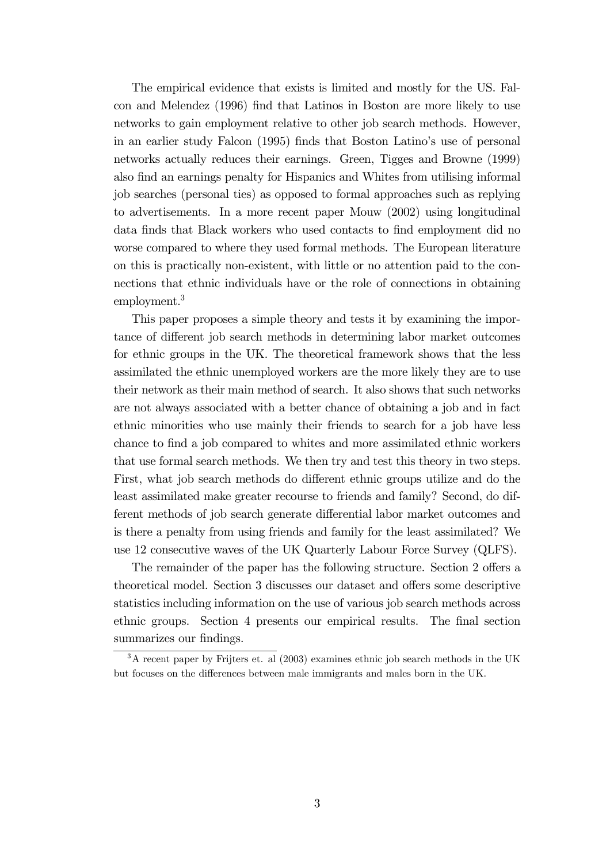The empirical evidence that exists is limited and mostly for the US. Falcon and Melendez (1996) find that Latinos in Boston are more likely to use networks to gain employment relative to other job search methods. However, in an earlier study Falcon (1995) finds that Boston Latino's use of personal networks actually reduces their earnings. Green, Tigges and Browne (1999) also find an earnings penalty for Hispanics and Whites from utilising informal job searches (personal ties) as opposed to formal approaches such as replying to advertisements. In a more recent paper Mouw (2002) using longitudinal data finds that Black workers who used contacts to find employment did no worse compared to where they used formal methods. The European literature on this is practically non-existent, with little or no attention paid to the connections that ethnic individuals have or the role of connections in obtaining employment.<sup>3</sup>

This paper proposes a simple theory and tests it by examining the importance of different job search methods in determining labor market outcomes for ethnic groups in the UK. The theoretical framework shows that the less assimilated the ethnic unemployed workers are the more likely they are to use their network as their main method of search. It also shows that such networks are not always associated with a better chance of obtaining a job and in fact ethnic minorities who use mainly their friends to search for a job have less chance to find a job compared to whites and more assimilated ethnic workers that use formal search methods. We then try and test this theory in two steps. First, what job search methods do different ethnic groups utilize and do the least assimilated make greater recourse to friends and family? Second, do different methods of job search generate differential labor market outcomes and is there a penalty from using friends and family for the least assimilated? We use 12 consecutive waves of the UK Quarterly Labour Force Survey (QLFS).

The remainder of the paper has the following structure. Section 2 offers a theoretical model. Section 3 discusses our dataset and offers some descriptive statistics including information on the use of various job search methods across ethnic groups. Section 4 presents our empirical results. The final section summarizes our findings.

<sup>&</sup>lt;sup>3</sup>A recent paper by Frijters et. al (2003) examines ethnic job search methods in the UK but focuses on the differences between male immigrants and males born in the UK.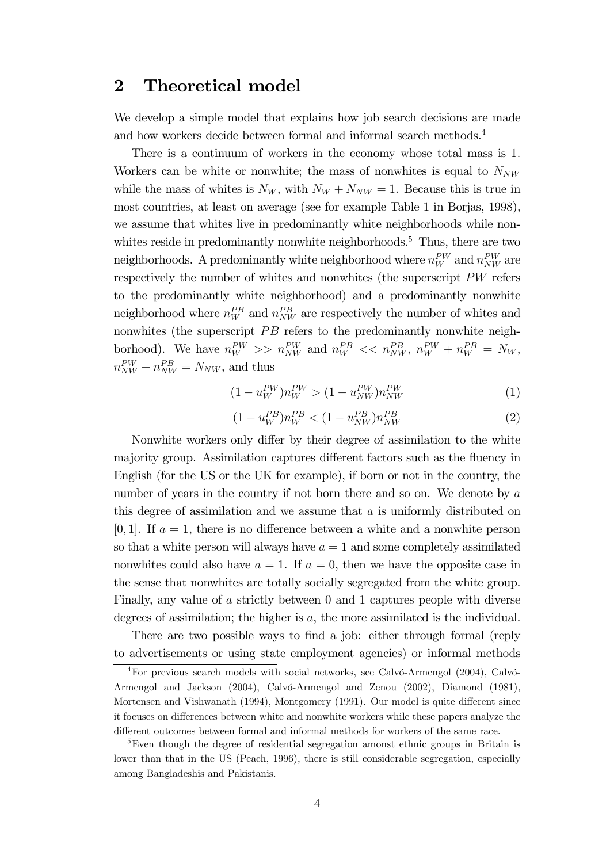### 2 Theoretical model

We develop a simple model that explains how job search decisions are made and how workers decide between formal and informal search methods.<sup>4</sup>

There is a continuum of workers in the economy whose total mass is 1. Workers can be white or nonwhite; the mass of nonwhites is equal to  $N_{NW}$ while the mass of whites is  $N_W$ , with  $N_W + N_{NW} = 1$ . Because this is true in most countries, at least on average (see for example Table 1 in Borjas, 1998), we assume that whites live in predominantly white neighborhoods while nonwhites reside in predominantly nonwhite neighborhoods.<sup>5</sup> Thus, there are two neighborhoods. A predominantly white neighborhood where  $n_W^{PW}$  and  $n_{NW}^{PW}$  are respectively the number of whites and nonwhites (the superscript PW refers to the predominantly white neighborhood) and a predominantly nonwhite neighborhood where  $n_W^{PB}$  and  $n_{NW}^{PB}$  are respectively the number of whites and nonwhites (the superscript  $PB$  refers to the predominantly nonwhite neighborhood). We have  $n_W^{PW} \gg n_{NW}^{PW}$  and  $n_W^{PB} \ll n_{NW}^{PB}$ ,  $n_W^{PW} + n_W^{PB} = N_W$ ,  $n_{NW}^{PW} + n_{NW}^{PB} = N_{NW}$ , and thus

$$
(1 - u_W^{PW})n_W^{PW} > (1 - u_{NW}^{PW})n_{NW}^{PW}
$$
 (1)

$$
(1 - u_W^{PB})n_W^{PB} < (1 - u_{NW}^{PB})n_{NW}^{PB}
$$
 (2)

Nonwhite workers only differ by their degree of assimilation to the white majority group. Assimilation captures different factors such as the fluency in English (for the US or the UK for example), if born or not in the country, the number of years in the country if not born there and so on. We denote by a this degree of assimilation and we assume that  $a$  is uniformly distributed on  $[0, 1]$ . If  $a = 1$ , there is no difference between a white and a nonwhite person so that a white person will always have  $a = 1$  and some completely assimilated nonwhites could also have  $a = 1$ . If  $a = 0$ , then we have the opposite case in the sense that nonwhites are totally socially segregated from the white group. Finally, any value of a strictly between 0 and 1 captures people with diverse degrees of assimilation; the higher is a, the more assimilated is the individual.

There are two possible ways to find a job: either through formal (reply to advertisements or using state employment agencies) or informal methods

<sup>4</sup>For previous search models with social networks, see Calvó-Armengol (2004), Calvó-Armengol and Jackson (2004), Calvó-Armengol and Zenou (2002), Diamond (1981), Mortensen and Vishwanath (1994), Montgomery (1991). Our model is quite different since it focuses on differences between white and nonwhite workers while these papers analyze the different outcomes between formal and informal methods for workers of the same race.

<sup>&</sup>lt;sup>5</sup>Even though the degree of residential segregation amonst ethnic groups in Britain is lower than that in the US (Peach, 1996), there is still considerable segregation, especially among Bangladeshis and Pakistanis.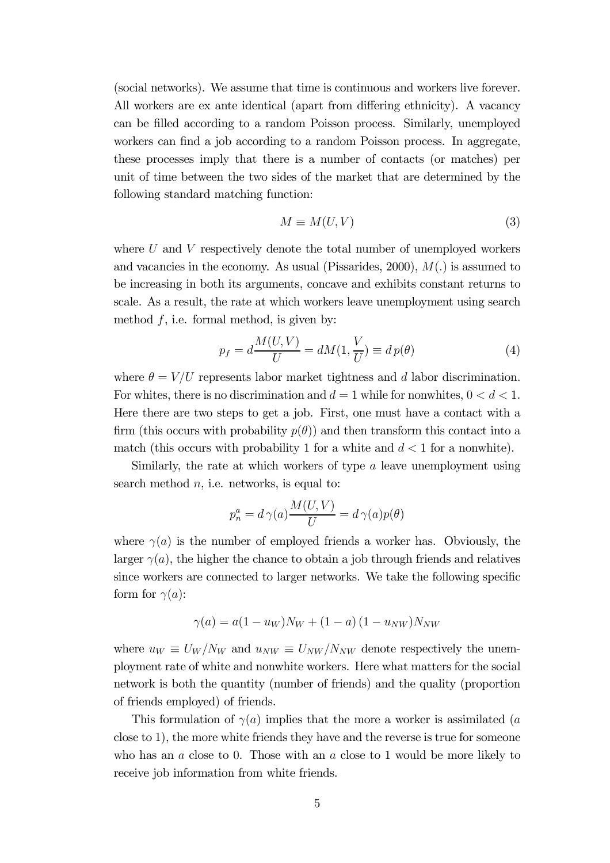(social networks). We assume that time is continuous and workers live forever. All workers are ex ante identical (apart from differing ethnicity). A vacancy can be filled according to a random Poisson process. Similarly, unemployed workers can find a job according to a random Poisson process. In aggregate, these processes imply that there is a number of contacts (or matches) per unit of time between the two sides of the market that are determined by the following standard matching function:

$$
M \equiv M(U, V) \tag{3}
$$

where  $U$  and  $V$  respectively denote the total number of unemployed workers and vacancies in the economy. As usual (Pissarides, 2000),  $M(.)$  is assumed to be increasing in both its arguments, concave and exhibits constant returns to scale. As a result, the rate at which workers leave unemployment using search method  $f$ , i.e. formal method, is given by:

$$
p_f = d\frac{M(U, V)}{U} = dM(1, \frac{V}{U}) \equiv dp(\theta)
$$
\n<sup>(4)</sup>

where  $\theta = V/U$  represents labor market tightness and d labor discrimination. For whites, there is no discrimination and  $d = 1$  while for nonwhites,  $0 < d < 1$ . Here there are two steps to get a job. First, one must have a contact with a firm (this occurs with probability  $p(\theta)$ ) and then transform this contact into a match (this occurs with probability 1 for a white and  $d < 1$  for a nonwhite).

Similarly, the rate at which workers of type a leave unemployment using search method  $n$ , i.e. networks, is equal to:

$$
p_n^a = d\,\gamma(a)\frac{M(U,V)}{U} = d\,\gamma(a)p(\theta)
$$

where  $\gamma(a)$  is the number of employed friends a worker has. Obviously, the larger  $\gamma(a)$ , the higher the chance to obtain a job through friends and relatives since workers are connected to larger networks. We take the following specific form for  $\gamma(a)$ :

$$
\gamma(a) = a(1 - u_W)N_W + (1 - a)(1 - u_{NW})N_{NW}
$$

where  $u_W \equiv U_W / N_W$  and  $u_{NW} \equiv U_{NW} / N_{NW}$  denote respectively the unemployment rate of white and nonwhite workers. Here what matters for the social network is both the quantity (number of friends) and the quality (proportion of friends employed) of friends.

This formulation of  $\gamma(a)$  implies that the more a worker is assimilated (a close to 1), the more white friends they have and the reverse is true for someone who has an  $a$  close to 0. Those with an  $a$  close to 1 would be more likely to receive job information from white friends.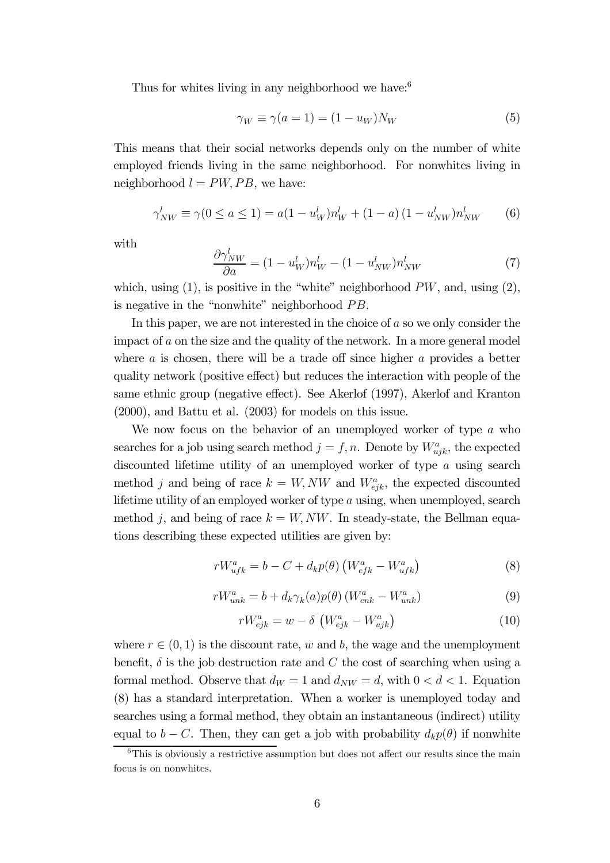Thus for whites living in any neighborhood we have:  $6^{\circ}$ 

$$
\gamma_W \equiv \gamma(a=1) = (1 - u_W)N_W \tag{5}
$$

This means that their social networks depends only on the number of white employed friends living in the same neighborhood. For nonwhites living in neighborhood  $l = PW, PB$ , we have:

$$
\gamma_{NW}^l \equiv \gamma(0 \le a \le 1) = a(1 - u_W^l) n_W^l + (1 - a)(1 - u_{NW}^l) n_{NW}^l \tag{6}
$$

with

$$
\frac{\partial \gamma_{NW}^l}{\partial a} = (1 - u_W^l) n_W^l - (1 - u_{NW}^l) n_{NW}^l \tag{7}
$$

which, using  $(1)$ , is positive in the "white" neighborhood  $PW$ , and, using  $(2)$ , is negative in the "nonwhite" neighborhood  $PB$ .

In this paper, we are not interested in the choice of a so we only consider the impact of a on the size and the quality of the network. In a more general model where a is chosen, there will be a trade off since higher a provides a better quality network (positive effect) but reduces the interaction with people of the same ethnic group (negative effect). See Akerlof (1997), Akerlof and Kranton (2000), and Battu et al. (2003) for models on this issue.

We now focus on the behavior of an unemployed worker of type a who searches for a job using search method  $j = f, n$ . Denote by  $W_{ujk}^a$ , the expected discounted lifetime utility of an unemployed worker of type a using search method j and being of race  $k = W, NW$  and  $W_{ejk}^a$ , the expected discounted lifetime utility of an employed worker of type a using, when unemployed, search method j, and being of race  $k = W, NW$ . In steady-state, the Bellman equations describing these expected utilities are given by:

$$
rW_{ufk}^a = b - C + d_k p(\theta) \left( W_{efk}^a - W_{ufk}^a \right) \tag{8}
$$

$$
rW_{unk}^a = b + d_k \gamma_k(a) p(\theta) \left( W_{enk}^a - W_{unk}^a \right) \tag{9}
$$

$$
rW_{ejk}^{a} = w - \delta \left( W_{ejk}^{a} - W_{ujk}^{a} \right)
$$
\n
$$
(10)
$$

where  $r \in (0, 1)$  is the discount rate, w and b, the wage and the unemployment benefit,  $\delta$  is the job destruction rate and C the cost of searching when using a formal method. Observe that  $d_W = 1$  and  $d_{NW} = d$ , with  $0 < d < 1$ . Equation (8) has a standard interpretation. When a worker is unemployed today and searches using a formal method, they obtain an instantaneous (indirect) utility equal to  $b - C$ . Then, they can get a job with probability  $d_k p(\theta)$  if nonwhite

 $6$ This is obviously a restrictive assumption but does not affect our results since the main focus is on nonwhites.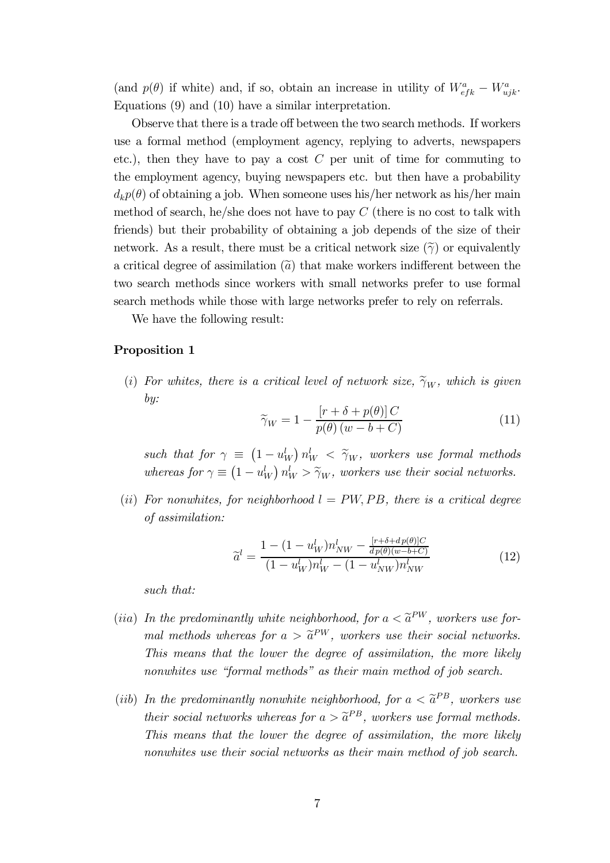(and  $p(\theta)$  if white) and, if so, obtain an increase in utility of  $W_{eff}^a - W_{ujk}^a$ . Equations (9) and (10) have a similar interpretation.

Observe that there is a trade off between the two search methods. If workers use a formal method (employment agency, replying to adverts, newspapers etc.), then they have to pay a cost  $C$  per unit of time for commuting to the employment agency, buying newspapers etc. but then have a probability  $d_k p(\theta)$  of obtaining a job. When someone uses his/her network as his/her main method of search, he/she does not have to pay  $C$  (there is no cost to talk with friends) but their probability of obtaining a job depends of the size of their network. As a result, there must be a critical network size  $(\widetilde{\gamma})$  or equivalently a critical degree of assimilation  $\left(\tilde{a}\right)$  that make workers indifferent between the two search methods since workers with small networks prefer to use formal search methods while those with large networks prefer to rely on referrals.

We have the following result:

#### Proposition 1

(i) For whites, there is a critical level of network size,  $\widetilde{\gamma}_W$ , which is given by:

$$
\widetilde{\gamma}_W = 1 - \frac{\left[r + \delta + p(\theta)\right]C}{p(\theta)\left(w - b + C\right)}\tag{11}
$$

such that for  $\gamma \equiv (1 - u_W^l) n_W^l < \tilde{\gamma}_W$ , workers use formal methods whereas for  $\gamma \equiv (1 - u_W^l) n_W^l > \tilde{\gamma}_W$ , workers use their social networks.

(ii) For nonwhites, for neighborhood  $l = PW$ , PB, there is a critical degree of assimilation:

$$
\widetilde{a}^{l} = \frac{1 - (1 - u_W^{l})n_{NW}^{l} - \frac{[r + \delta + dp(\theta)]C}{dp(\theta)(w - b + C)}}{(1 - u_W^{l})n_W^{l} - (1 - u_{NW}^{l})n_{NW}^{l}}
$$
(12)

such that:

- (iia) In the predominantly white neighborhood, for  $a < \tilde{a}^{PW}$ , workers use formal methods whereas for  $a > \tilde{a}^{PW}$ , workers use their social networks. This means that the lower the degree of assimilation, the more likely nonwhites use "formal methods" as their main method of job search.
- (iib) In the predominantly nonwhite neighborhood, for  $a < \tilde{a}^{PB}$ , workers use their social networks whereas for  $a > \tilde{a}^{PB}$ , workers use formal methods. This means that the lower the degree of assimilation, the more likely nonwhites use their social networks as their main method of job search.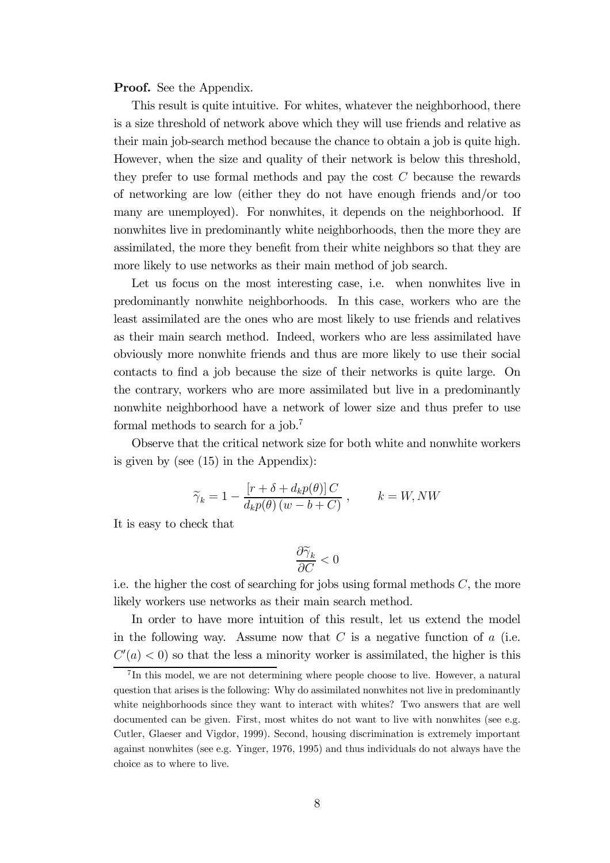**Proof.** See the Appendix.

This result is quite intuitive. For whites, whatever the neighborhood, there is a size threshold of network above which they will use friends and relative as their main job-search method because the chance to obtain a job is quite high. However, when the size and quality of their network is below this threshold, they prefer to use formal methods and pay the cost  $C$  because the rewards of networking are low (either they do not have enough friends and/or too many are unemployed). For nonwhites, it depends on the neighborhood. If nonwhites live in predominantly white neighborhoods, then the more they are assimilated, the more they benefit from their white neighbors so that they are more likely to use networks as their main method of job search.

Let us focus on the most interesting case, i.e. when nonwhites live in predominantly nonwhite neighborhoods. In this case, workers who are the least assimilated are the ones who are most likely to use friends and relatives as their main search method. Indeed, workers who are less assimilated have obviously more nonwhite friends and thus are more likely to use their social contacts to find a job because the size of their networks is quite large. On the contrary, workers who are more assimilated but live in a predominantly nonwhite neighborhood have a network of lower size and thus prefer to use formal methods to search for a job.7

Observe that the critical network size for both white and nonwhite workers is given by (see (15) in the Appendix):

$$
\widetilde{\gamma}_k = 1 - \frac{\left[r + \delta + d_k p(\theta)\right]C}{d_k p(\theta) \left(w - b + C\right)}, \qquad k = W, NW
$$

It is easy to check that

$$
\frac{\partial \widetilde{\gamma}_k}{\partial C}<0
$$

i.e. the higher the cost of searching for jobs using formal methods  $C$ , the more likely workers use networks as their main search method.

In order to have more intuition of this result, let us extend the model in the following way. Assume now that  $C$  is a negative function of  $a$  (i.e.  $C'(a) < 0$  so that the less a minority worker is assimilated, the higher is this

<sup>&</sup>lt;sup>7</sup>In this model, we are not determining where people choose to live. However, a natural question that arises is the following: Why do assimilated nonwhites not live in predominantly white neighborhoods since they want to interact with whites? Two answers that are well documented can be given. First, most whites do not want to live with nonwhites (see e.g. Cutler, Glaeser and Vigdor, 1999). Second, housing discrimination is extremely important against nonwhites (see e.g. Yinger, 1976, 1995) and thus individuals do not always have the choice as to where to live.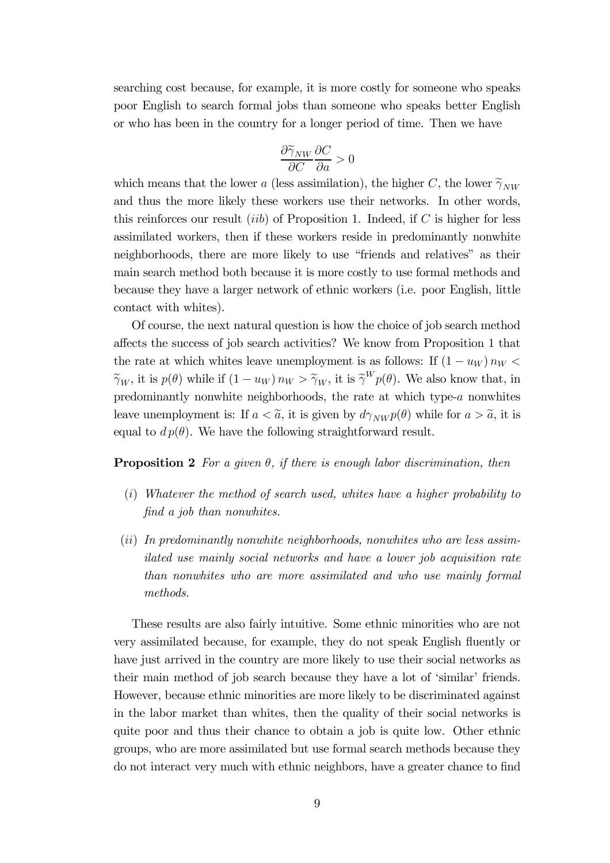searching cost because, for example, it is more costly for someone who speaks poor English to search formal jobs than someone who speaks better English or who has been in the country for a longer period of time. Then we have

$$
\frac{\partial \widetilde{\gamma}_{NW}}{\partial C} \frac{\partial C}{\partial a} > 0
$$

which means that the lower a (less assimilation), the higher C, the lower  $\tilde{\gamma}_{NW}$ and thus the more likely these workers use their networks. In other words, this reinforces our result *(iib)* of Proposition 1. Indeed, if  $C$  is higher for less assimilated workers, then if these workers reside in predominantly nonwhite neighborhoods, there are more likely to use "friends and relatives" as their main search method both because it is more costly to use formal methods and because they have a larger network of ethnic workers (i.e. poor English, little contact with whites).

Of course, the next natural question is how the choice of job search method affects the success of job search activities? We know from Proposition 1 that the rate at which whites leave unemployment is as follows: If  $(1 - u_W) n_W <$  $\widetilde{\gamma}_W$ , it is  $p(\theta)$  while if  $(1 - u_W) n_W > \widetilde{\gamma}_W$ , it is  $\widetilde{\gamma}^W p(\theta)$ . We also know that, in predominantly nonwhite neighborhoods, the rate at which type-a nonwhites leave unemployment is: If  $a < \tilde{a}$ , it is given by  $d\gamma_{NW} p(\theta)$  while for  $a > \tilde{a}$ , it is equal to  $d p(\theta)$ . We have the following straightforward result.

#### **Proposition 2** For a given  $\theta$ , if there is enough labor discrimination, then

- (i) Whatever the method of search used, whites have a higher probability to find a job than nonwhites.
- (ii) In predominantly nonwhite neighborhoods, nonwhites who are less assimilated use mainly social networks and have a lower job acquisition rate than nonwhites who are more assimilated and who use mainly formal methods.

These results are also fairly intuitive. Some ethnic minorities who are not very assimilated because, for example, they do not speak English fluently or have just arrived in the country are more likely to use their social networks as their main method of job search because they have a lot of 'similar' friends. However, because ethnic minorities are more likely to be discriminated against in the labor market than whites, then the quality of their social networks is quite poor and thus their chance to obtain a job is quite low. Other ethnic groups, who are more assimilated but use formal search methods because they do not interact very much with ethnic neighbors, have a greater chance to find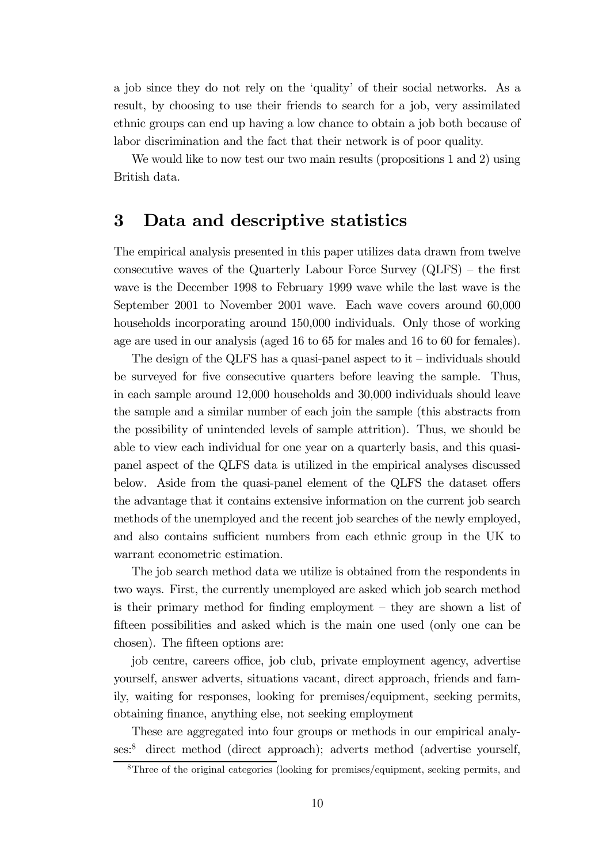a job since they do not rely on the 'quality' of their social networks. As a result, by choosing to use their friends to search for a job, very assimilated ethnic groups can end up having a low chance to obtain a job both because of labor discrimination and the fact that their network is of poor quality.

We would like to now test our two main results (propositions 1 and 2) using British data.

### 3 Data and descriptive statistics

The empirical analysis presented in this paper utilizes data drawn from twelve consecutive waves of the Quarterly Labour Force Survey (QLFS) — the first wave is the December 1998 to February 1999 wave while the last wave is the September 2001 to November 2001 wave. Each wave covers around 60,000 households incorporating around 150,000 individuals. Only those of working age are used in our analysis (aged 16 to 65 for males and 16 to 60 for females).

The design of the QLFS has a quasi-panel aspect to  $it$  – individuals should be surveyed for five consecutive quarters before leaving the sample. Thus, in each sample around 12,000 households and 30,000 individuals should leave the sample and a similar number of each join the sample (this abstracts from the possibility of unintended levels of sample attrition). Thus, we should be able to view each individual for one year on a quarterly basis, and this quasipanel aspect of the QLFS data is utilized in the empirical analyses discussed below. Aside from the quasi-panel element of the QLFS the dataset offers the advantage that it contains extensive information on the current job search methods of the unemployed and the recent job searches of the newly employed, and also contains sufficient numbers from each ethnic group in the UK to warrant econometric estimation.

The job search method data we utilize is obtained from the respondents in two ways. First, the currently unemployed are asked which job search method is their primary method for finding employment — they are shown a list of fifteen possibilities and asked which is the main one used (only one can be chosen). The fifteen options are:

job centre, careers office, job club, private employment agency, advertise yourself, answer adverts, situations vacant, direct approach, friends and family, waiting for responses, looking for premises/equipment, seeking permits, obtaining finance, anything else, not seeking employment

These are aggregated into four groups or methods in our empirical analyses:8 direct method (direct approach); adverts method (advertise yourself,

<sup>8</sup>Three of the original categories (looking for premises/equipment, seeking permits, and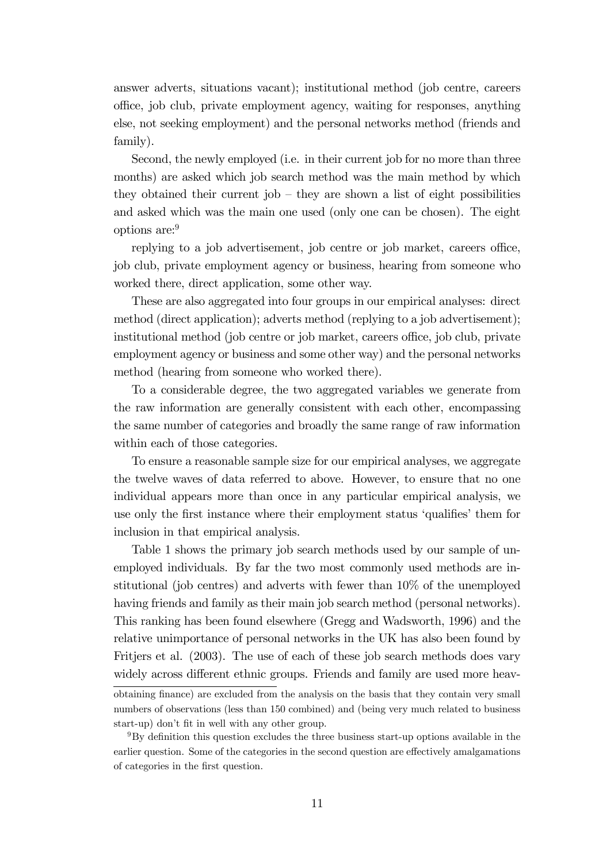answer adverts, situations vacant); institutional method (job centre, careers office, job club, private employment agency, waiting for responses, anything else, not seeking employment) and the personal networks method (friends and family).

Second, the newly employed (i.e. in their current job for no more than three months) are asked which job search method was the main method by which they obtained their current job — they are shown a list of eight possibilities and asked which was the main one used (only one can be chosen). The eight options are:9

replying to a job advertisement, job centre or job market, careers office, job club, private employment agency or business, hearing from someone who worked there, direct application, some other way.

These are also aggregated into four groups in our empirical analyses: direct method (direct application); adverts method (replying to a job advertisement); institutional method (job centre or job market, careers office, job club, private employment agency or business and some other way) and the personal networks method (hearing from someone who worked there).

To a considerable degree, the two aggregated variables we generate from the raw information are generally consistent with each other, encompassing the same number of categories and broadly the same range of raw information within each of those categories.

To ensure a reasonable sample size for our empirical analyses, we aggregate the twelve waves of data referred to above. However, to ensure that no one individual appears more than once in any particular empirical analysis, we use only the first instance where their employment status 'qualifies' them for inclusion in that empirical analysis.

Table 1 shows the primary job search methods used by our sample of unemployed individuals. By far the two most commonly used methods are institutional (job centres) and adverts with fewer than 10% of the unemployed having friends and family as their main job search method (personal networks). This ranking has been found elsewhere (Gregg and Wadsworth, 1996) and the relative unimportance of personal networks in the UK has also been found by Fritiers et al. (2003). The use of each of these job search methods does vary widely across different ethnic groups. Friends and family are used more heav-

obtaining finance) are excluded from the analysis on the basis that they contain very small numbers of observations (less than 150 combined) and (being very much related to business start-up) don't fit in well with any other group.

<sup>9</sup>By definition this question excludes the three business start-up options available in the earlier question. Some of the categories in the second question are effectively amalgamations of categories in the first question.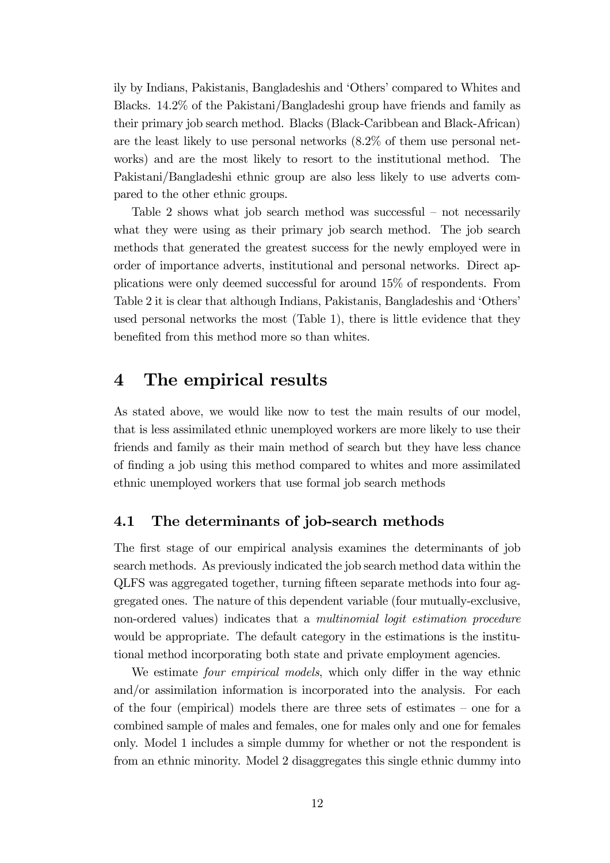ily by Indians, Pakistanis, Bangladeshis and 'Others' compared to Whites and Blacks. 14.2% of the Pakistani/Bangladeshi group have friends and family as their primary job search method. Blacks (Black-Caribbean and Black-African) are the least likely to use personal networks (8.2% of them use personal networks) and are the most likely to resort to the institutional method. The Pakistani/Bangladeshi ethnic group are also less likely to use adverts compared to the other ethnic groups.

Table 2 shows what job search method was successful — not necessarily what they were using as their primary job search method. The job search methods that generated the greatest success for the newly employed were in order of importance adverts, institutional and personal networks. Direct applications were only deemed successful for around 15% of respondents. From Table 2 it is clear that although Indians, Pakistanis, Bangladeshis and 'Others' used personal networks the most (Table 1), there is little evidence that they benefited from this method more so than whites.

# 4 The empirical results

As stated above, we would like now to test the main results of our model, that is less assimilated ethnic unemployed workers are more likely to use their friends and family as their main method of search but they have less chance of finding a job using this method compared to whites and more assimilated ethnic unemployed workers that use formal job search methods

### 4.1 The determinants of job-search methods

The first stage of our empirical analysis examines the determinants of job search methods. As previously indicated the job search method data within the QLFS was aggregated together, turning fifteen separate methods into four aggregated ones. The nature of this dependent variable (four mutually-exclusive, non-ordered values) indicates that a *multinomial logit estimation procedure* would be appropriate. The default category in the estimations is the institutional method incorporating both state and private employment agencies.

We estimate *four empirical models*, which only differ in the way ethnic and/or assimilation information is incorporated into the analysis. For each of the four (empirical) models there are three sets of estimates — one for a combined sample of males and females, one for males only and one for females only. Model 1 includes a simple dummy for whether or not the respondent is from an ethnic minority. Model 2 disaggregates this single ethnic dummy into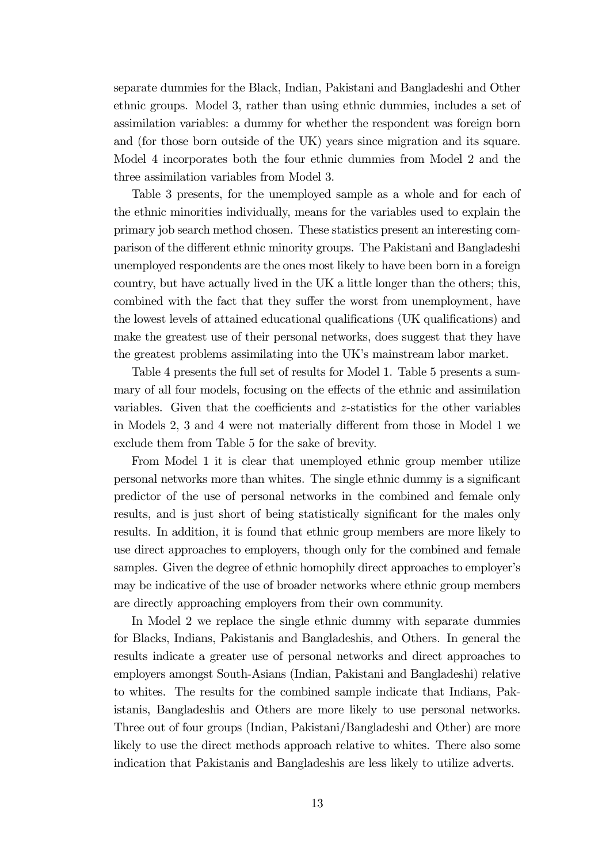separate dummies for the Black, Indian, Pakistani and Bangladeshi and Other ethnic groups. Model 3, rather than using ethnic dummies, includes a set of assimilation variables: a dummy for whether the respondent was foreign born and (for those born outside of the UK) years since migration and its square. Model 4 incorporates both the four ethnic dummies from Model 2 and the three assimilation variables from Model 3.

Table 3 presents, for the unemployed sample as a whole and for each of the ethnic minorities individually, means for the variables used to explain the primary job search method chosen. These statistics present an interesting comparison of the different ethnic minority groups. The Pakistani and Bangladeshi unemployed respondents are the ones most likely to have been born in a foreign country, but have actually lived in the UK a little longer than the others; this, combined with the fact that they suffer the worst from unemployment, have the lowest levels of attained educational qualifications (UK qualifications) and make the greatest use of their personal networks, does suggest that they have the greatest problems assimilating into the UK's mainstream labor market.

Table 4 presents the full set of results for Model 1. Table 5 presents a summary of all four models, focusing on the effects of the ethnic and assimilation variables. Given that the coefficients and z-statistics for the other variables in Models 2, 3 and 4 were not materially different from those in Model 1 we exclude them from Table 5 for the sake of brevity.

From Model 1 it is clear that unemployed ethnic group member utilize personal networks more than whites. The single ethnic dummy is a significant predictor of the use of personal networks in the combined and female only results, and is just short of being statistically significant for the males only results. In addition, it is found that ethnic group members are more likely to use direct approaches to employers, though only for the combined and female samples. Given the degree of ethnic homophily direct approaches to employer's may be indicative of the use of broader networks where ethnic group members are directly approaching employers from their own community.

In Model 2 we replace the single ethnic dummy with separate dummies for Blacks, Indians, Pakistanis and Bangladeshis, and Others. In general the results indicate a greater use of personal networks and direct approaches to employers amongst South-Asians (Indian, Pakistani and Bangladeshi) relative to whites. The results for the combined sample indicate that Indians, Pakistanis, Bangladeshis and Others are more likely to use personal networks. Three out of four groups (Indian, Pakistani/Bangladeshi and Other) are more likely to use the direct methods approach relative to whites. There also some indication that Pakistanis and Bangladeshis are less likely to utilize adverts.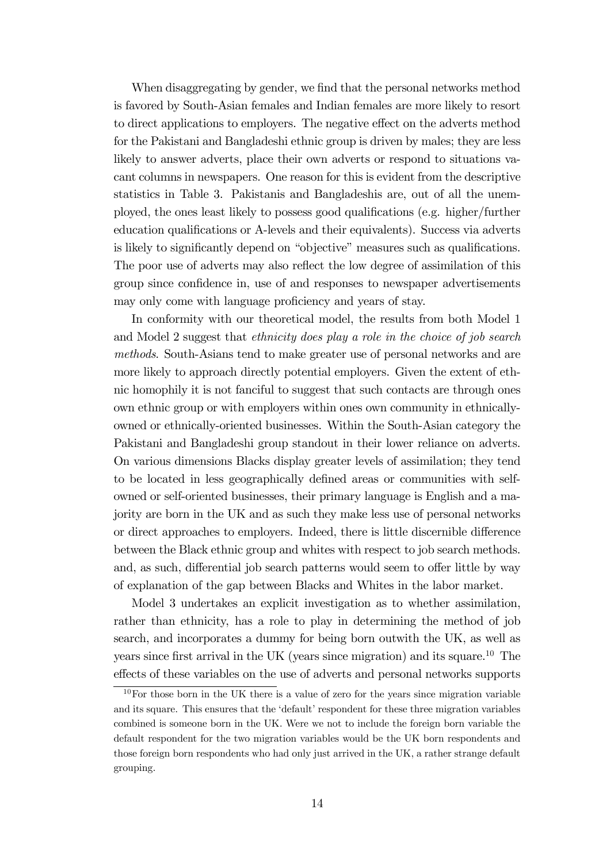When disaggregating by gender, we find that the personal networks method is favored by South-Asian females and Indian females are more likely to resort to direct applications to employers. The negative effect on the adverts method for the Pakistani and Bangladeshi ethnic group is driven by males; they are less likely to answer adverts, place their own adverts or respond to situations vacant columns in newspapers. One reason for this is evident from the descriptive statistics in Table 3. Pakistanis and Bangladeshis are, out of all the unemployed, the ones least likely to possess good qualifications (e.g. higher/further education qualifications or A-levels and their equivalents). Success via adverts is likely to significantly depend on "objective" measures such as qualifications. The poor use of adverts may also reflect the low degree of assimilation of this group since confidence in, use of and responses to newspaper advertisements may only come with language proficiency and years of stay.

In conformity with our theoretical model, the results from both Model 1 and Model 2 suggest that ethnicity does play a role in the choice of job search methods. South-Asians tend to make greater use of personal networks and are more likely to approach directly potential employers. Given the extent of ethnic homophily it is not fanciful to suggest that such contacts are through ones own ethnic group or with employers within ones own community in ethnicallyowned or ethnically-oriented businesses. Within the South-Asian category the Pakistani and Bangladeshi group standout in their lower reliance on adverts. On various dimensions Blacks display greater levels of assimilation; they tend to be located in less geographically defined areas or communities with selfowned or self-oriented businesses, their primary language is English and a majority are born in the UK and as such they make less use of personal networks or direct approaches to employers. Indeed, there is little discernible difference between the Black ethnic group and whites with respect to job search methods. and, as such, differential job search patterns would seem to offer little by way of explanation of the gap between Blacks and Whites in the labor market.

Model 3 undertakes an explicit investigation as to whether assimilation, rather than ethnicity, has a role to play in determining the method of job search, and incorporates a dummy for being born outwith the UK, as well as years since first arrival in the UK (years since migration) and its square.<sup>10</sup> The effects of these variables on the use of adverts and personal networks supports

 $10$ For those born in the UK there is a value of zero for the years since migration variable and its square. This ensures that the 'default' respondent for these three migration variables combined is someone born in the UK. Were we not to include the foreign born variable the default respondent for the two migration variables would be the UK born respondents and those foreign born respondents who had only just arrived in the UK, a rather strange default grouping.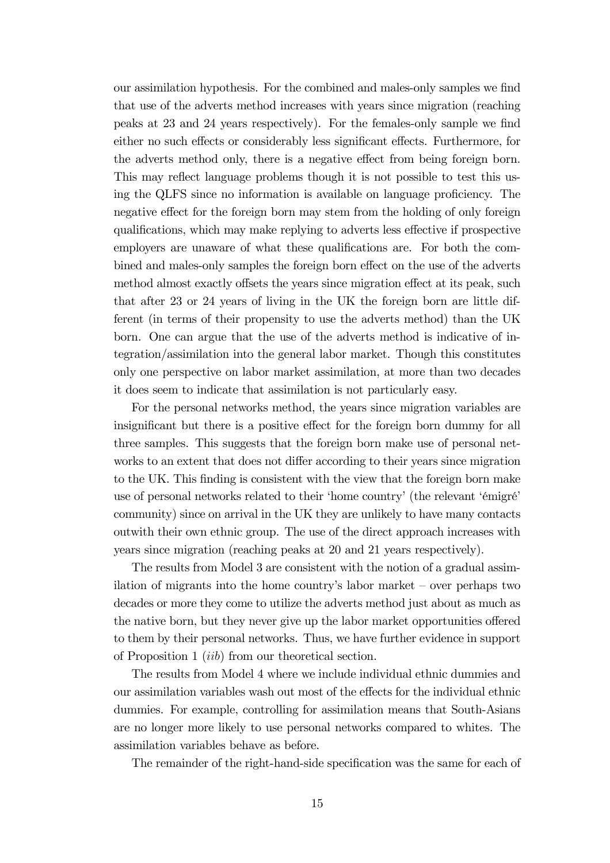our assimilation hypothesis. For the combined and males-only samples we find that use of the adverts method increases with years since migration (reaching peaks at 23 and 24 years respectively). For the females-only sample we find either no such effects or considerably less significant effects. Furthermore, for the adverts method only, there is a negative effect from being foreign born. This may reflect language problems though it is not possible to test this using the QLFS since no information is available on language proficiency. The negative effect for the foreign born may stem from the holding of only foreign qualifications, which may make replying to adverts less effective if prospective employers are unaware of what these qualifications are. For both the combined and males-only samples the foreign born effect on the use of the adverts method almost exactly offsets the years since migration effect at its peak, such that after 23 or 24 years of living in the UK the foreign born are little different (in terms of their propensity to use the adverts method) than the UK born. One can argue that the use of the adverts method is indicative of integration/assimilation into the general labor market. Though this constitutes only one perspective on labor market assimilation, at more than two decades it does seem to indicate that assimilation is not particularly easy.

For the personal networks method, the years since migration variables are insignificant but there is a positive effect for the foreign born dummy for all three samples. This suggests that the foreign born make use of personal networks to an extent that does not differ according to their years since migration to the UK. This finding is consistent with the view that the foreign born make use of personal networks related to their 'home country' (the relevant 'émigré' community) since on arrival in the UK they are unlikely to have many contacts outwith their own ethnic group. The use of the direct approach increases with years since migration (reaching peaks at 20 and 21 years respectively).

The results from Model 3 are consistent with the notion of a gradual assimilation of migrants into the home country's labor market — over perhaps two decades or more they come to utilize the adverts method just about as much as the native born, but they never give up the labor market opportunities offered to them by their personal networks. Thus, we have further evidence in support of Proposition 1 (iib) from our theoretical section.

The results from Model 4 where we include individual ethnic dummies and our assimilation variables wash out most of the effects for the individual ethnic dummies. For example, controlling for assimilation means that South-Asians are no longer more likely to use personal networks compared to whites. The assimilation variables behave as before.

The remainder of the right-hand-side specification was the same for each of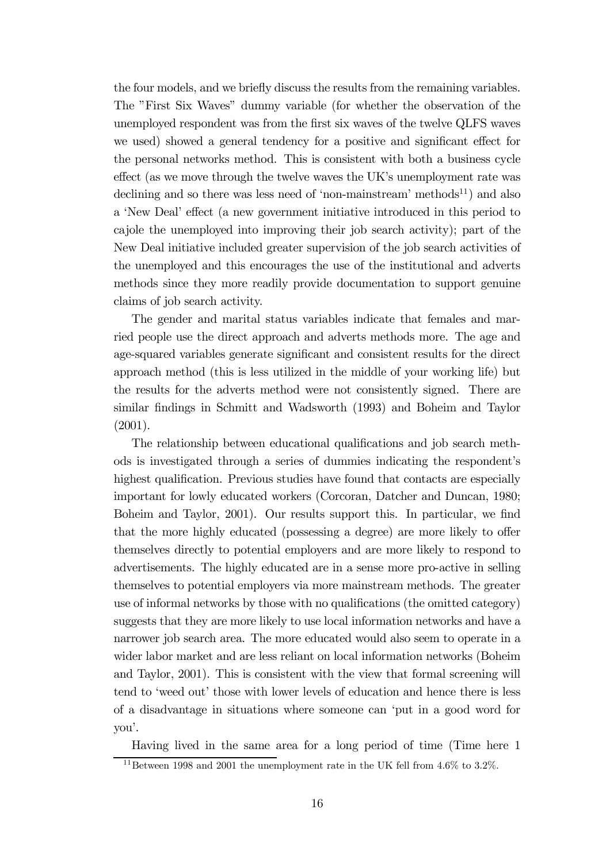the four models, and we briefly discuss the results from the remaining variables. The "First Six Waves" dummy variable (for whether the observation of the unemployed respondent was from the first six waves of the twelve QLFS waves we used) showed a general tendency for a positive and significant effect for the personal networks method. This is consistent with both a business cycle effect (as we move through the twelve waves the UK's unemployment rate was declining and so there was less need of 'non-mainstream' methods<sup>11</sup>) and also a 'New Deal' effect (a new government initiative introduced in this period to cajole the unemployed into improving their job search activity); part of the New Deal initiative included greater supervision of the job search activities of the unemployed and this encourages the use of the institutional and adverts methods since they more readily provide documentation to support genuine claims of job search activity.

The gender and marital status variables indicate that females and married people use the direct approach and adverts methods more. The age and age-squared variables generate significant and consistent results for the direct approach method (this is less utilized in the middle of your working life) but the results for the adverts method were not consistently signed. There are similar findings in Schmitt and Wadsworth (1993) and Boheim and Taylor (2001).

The relationship between educational qualifications and job search methods is investigated through a series of dummies indicating the respondent's highest qualification. Previous studies have found that contacts are especially important for lowly educated workers (Corcoran, Datcher and Duncan, 1980; Boheim and Taylor, 2001). Our results support this. In particular, we find that the more highly educated (possessing a degree) are more likely to offer themselves directly to potential employers and are more likely to respond to advertisements. The highly educated are in a sense more pro-active in selling themselves to potential employers via more mainstream methods. The greater use of informal networks by those with no qualifications (the omitted category) suggests that they are more likely to use local information networks and have a narrower job search area. The more educated would also seem to operate in a wider labor market and are less reliant on local information networks (Boheim and Taylor, 2001). This is consistent with the view that formal screening will tend to 'weed out' those with lower levels of education and hence there is less of a disadvantage in situations where someone can 'put in a good word for you'.

Having lived in the same area for a long period of time (Time here 1

 $11$ Between 1998 and 2001 the unemployment rate in the UK fell from 4.6% to 3.2%.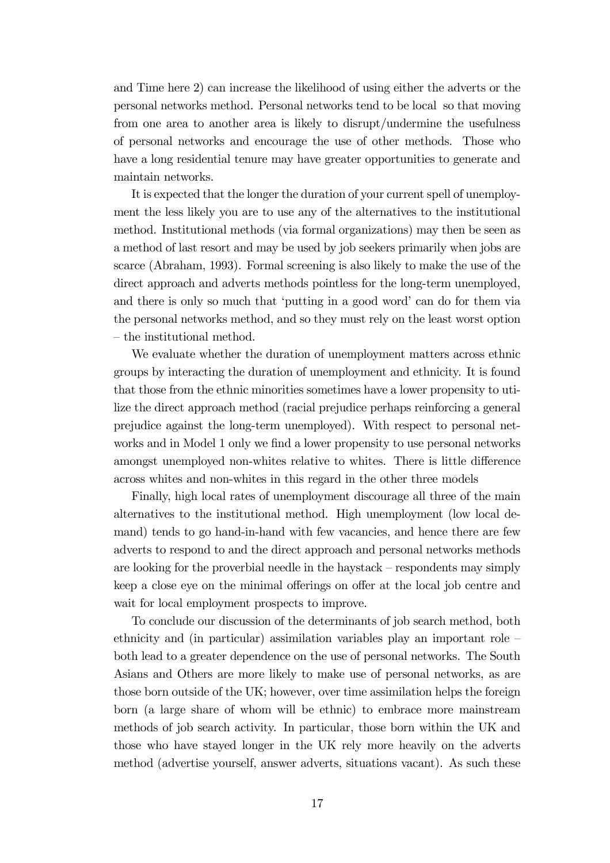and Time here 2) can increase the likelihood of using either the adverts or the personal networks method. Personal networks tend to be local so that moving from one area to another area is likely to disrupt/undermine the usefulness of personal networks and encourage the use of other methods. Those who have a long residential tenure may have greater opportunities to generate and maintain networks.

It is expected that the longer the duration of your current spell of unemployment the less likely you are to use any of the alternatives to the institutional method. Institutional methods (via formal organizations) may then be seen as a method of last resort and may be used by job seekers primarily when jobs are scarce (Abraham, 1993). Formal screening is also likely to make the use of the direct approach and adverts methods pointless for the long-term unemployed, and there is only so much that 'putting in a good word' can do for them via the personal networks method, and so they must rely on the least worst option — the institutional method.

We evaluate whether the duration of unemployment matters across ethnic groups by interacting the duration of unemployment and ethnicity. It is found that those from the ethnic minorities sometimes have a lower propensity to utilize the direct approach method (racial prejudice perhaps reinforcing a general prejudice against the long-term unemployed). With respect to personal networks and in Model 1 only we find a lower propensity to use personal networks amongst unemployed non-whites relative to whites. There is little difference across whites and non-whites in this regard in the other three models

Finally, high local rates of unemployment discourage all three of the main alternatives to the institutional method. High unemployment (low local demand) tends to go hand-in-hand with few vacancies, and hence there are few adverts to respond to and the direct approach and personal networks methods are looking for the proverbial needle in the haystack — respondents may simply keep a close eye on the minimal offerings on offer at the local job centre and wait for local employment prospects to improve.

To conclude our discussion of the determinants of job search method, both ethnicity and (in particular) assimilation variables play an important role both lead to a greater dependence on the use of personal networks. The South Asians and Others are more likely to make use of personal networks, as are those born outside of the UK; however, over time assimilation helps the foreign born (a large share of whom will be ethnic) to embrace more mainstream methods of job search activity. In particular, those born within the UK and those who have stayed longer in the UK rely more heavily on the adverts method (advertise yourself, answer adverts, situations vacant). As such these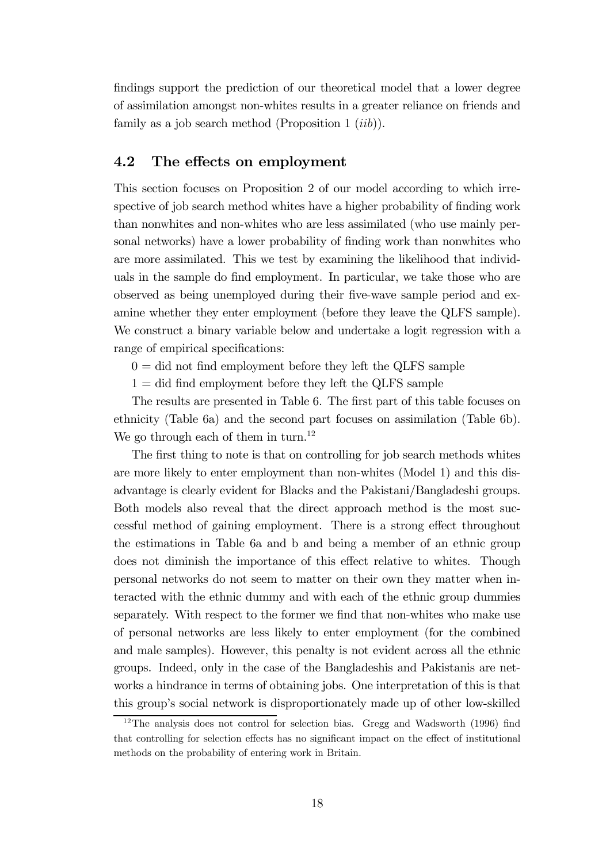findings support the prediction of our theoretical model that a lower degree of assimilation amongst non-whites results in a greater reliance on friends and family as a job search method (Proposition 1  $(iib)$ ).

#### 4.2 The effects on employment

This section focuses on Proposition 2 of our model according to which irrespective of job search method whites have a higher probability of finding work than nonwhites and non-whites who are less assimilated (who use mainly personal networks) have a lower probability of finding work than nonwhites who are more assimilated. This we test by examining the likelihood that individuals in the sample do find employment. In particular, we take those who are observed as being unemployed during their five-wave sample period and examine whether they enter employment (before they leave the QLFS sample). We construct a binary variable below and undertake a logit regression with a range of empirical specifications:

 $0 =$  did not find employment before they left the QLFS sample

 $1 =$  did find employment before they left the QLFS sample

The results are presented in Table 6. The first part of this table focuses on ethnicity (Table 6a) and the second part focuses on assimilation (Table 6b). We go through each of them in turn.<sup>12</sup>

The first thing to note is that on controlling for job search methods whites are more likely to enter employment than non-whites (Model 1) and this disadvantage is clearly evident for Blacks and the Pakistani/Bangladeshi groups. Both models also reveal that the direct approach method is the most successful method of gaining employment. There is a strong effect throughout the estimations in Table 6a and b and being a member of an ethnic group does not diminish the importance of this effect relative to whites. Though personal networks do not seem to matter on their own they matter when interacted with the ethnic dummy and with each of the ethnic group dummies separately. With respect to the former we find that non-whites who make use of personal networks are less likely to enter employment (for the combined and male samples). However, this penalty is not evident across all the ethnic groups. Indeed, only in the case of the Bangladeshis and Pakistanis are networks a hindrance in terms of obtaining jobs. One interpretation of this is that this group's social network is disproportionately made up of other low-skilled

<sup>&</sup>lt;sup>12</sup>The analysis does not control for selection bias. Gregg and Wadsworth (1996) find that controlling for selection effects has no significant impact on the effect of institutional methods on the probability of entering work in Britain.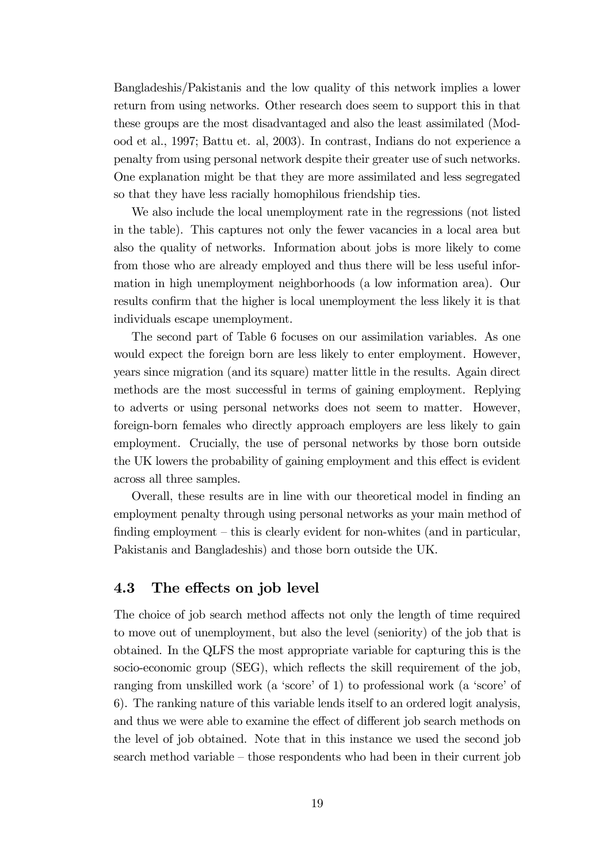Bangladeshis/Pakistanis and the low quality of this network implies a lower return from using networks. Other research does seem to support this in that these groups are the most disadvantaged and also the least assimilated (Modood et al., 1997; Battu et. al, 2003). In contrast, Indians do not experience a penalty from using personal network despite their greater use of such networks. One explanation might be that they are more assimilated and less segregated so that they have less racially homophilous friendship ties.

We also include the local unemployment rate in the regressions (not listed in the table). This captures not only the fewer vacancies in a local area but also the quality of networks. Information about jobs is more likely to come from those who are already employed and thus there will be less useful information in high unemployment neighborhoods (a low information area). Our results confirm that the higher is local unemployment the less likely it is that individuals escape unemployment.

The second part of Table 6 focuses on our assimilation variables. As one would expect the foreign born are less likely to enter employment. However, years since migration (and its square) matter little in the results. Again direct methods are the most successful in terms of gaining employment. Replying to adverts or using personal networks does not seem to matter. However, foreign-born females who directly approach employers are less likely to gain employment. Crucially, the use of personal networks by those born outside the UK lowers the probability of gaining employment and this effect is evident across all three samples.

Overall, these results are in line with our theoretical model in finding an employment penalty through using personal networks as your main method of finding employment – this is clearly evident for non-whites (and in particular, Pakistanis and Bangladeshis) and those born outside the UK.

### 4.3 The effects on job level

The choice of job search method affects not only the length of time required to move out of unemployment, but also the level (seniority) of the job that is obtained. In the QLFS the most appropriate variable for capturing this is the socio-economic group (SEG), which reflects the skill requirement of the job, ranging from unskilled work (a 'score' of 1) to professional work (a 'score' of 6). The ranking nature of this variable lends itself to an ordered logit analysis, and thus we were able to examine the effect of different job search methods on the level of job obtained. Note that in this instance we used the second job search method variable — those respondents who had been in their current job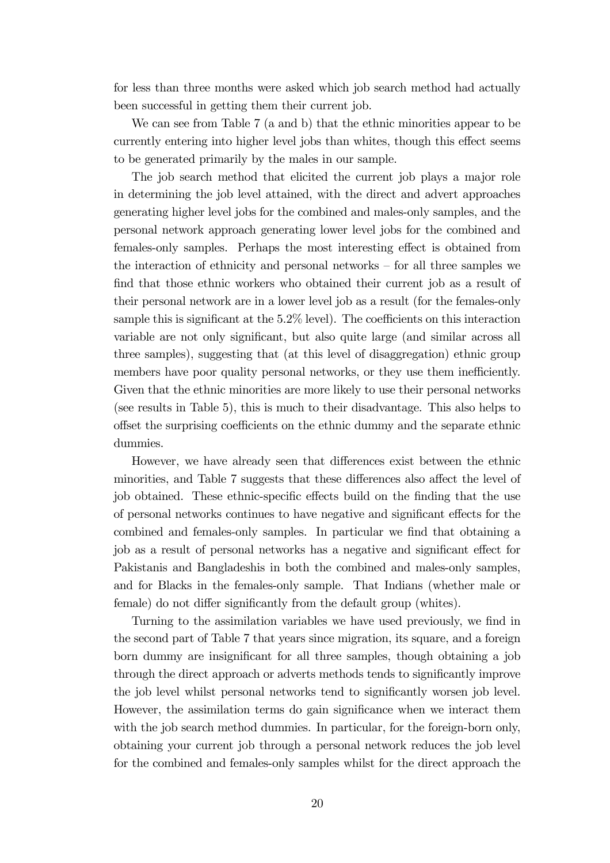for less than three months were asked which job search method had actually been successful in getting them their current job.

We can see from Table 7 (a and b) that the ethnic minorities appear to be currently entering into higher level jobs than whites, though this effect seems to be generated primarily by the males in our sample.

The job search method that elicited the current job plays a major role in determining the job level attained, with the direct and advert approaches generating higher level jobs for the combined and males-only samples, and the personal network approach generating lower level jobs for the combined and females-only samples. Perhaps the most interesting effect is obtained from the interaction of ethnicity and personal networks — for all three samples we find that those ethnic workers who obtained their current job as a result of their personal network are in a lower level job as a result (for the females-only sample this is significant at the 5.2% level). The coefficients on this interaction variable are not only significant, but also quite large (and similar across all three samples), suggesting that (at this level of disaggregation) ethnic group members have poor quality personal networks, or they use them inefficiently. Given that the ethnic minorities are more likely to use their personal networks (see results in Table 5), this is much to their disadvantage. This also helps to offset the surprising coefficients on the ethnic dummy and the separate ethnic dummies.

However, we have already seen that differences exist between the ethnic minorities, and Table 7 suggests that these differences also affect the level of job obtained. These ethnic-specific effects build on the finding that the use of personal networks continues to have negative and significant effects for the combined and females-only samples. In particular we find that obtaining a job as a result of personal networks has a negative and significant effect for Pakistanis and Bangladeshis in both the combined and males-only samples, and for Blacks in the females-only sample. That Indians (whether male or female) do not differ significantly from the default group (whites).

Turning to the assimilation variables we have used previously, we find in the second part of Table 7 that years since migration, its square, and a foreign born dummy are insignificant for all three samples, though obtaining a job through the direct approach or adverts methods tends to significantly improve the job level whilst personal networks tend to significantly worsen job level. However, the assimilation terms do gain significance when we interact them with the job search method dummies. In particular, for the foreign-born only, obtaining your current job through a personal network reduces the job level for the combined and females-only samples whilst for the direct approach the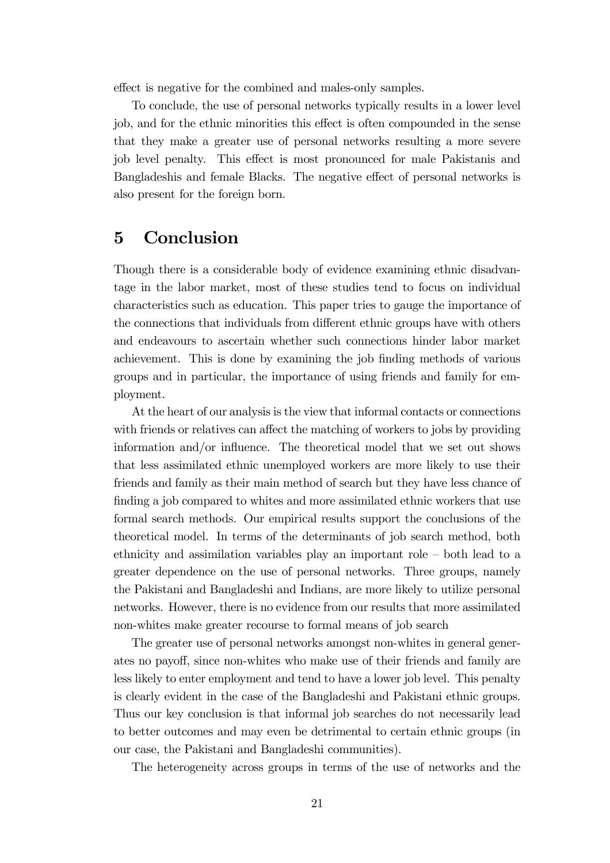effect is negative for the combined and males-only samples.

To conclude, the use of personal networks typically results in a lower level job, and for the ethnic minorities this effect is often compounded in the sense that they make a greater use of personal networks resulting a more severe job level penalty. This effect is most pronounced for male Pakistanis and Bangladeshis and female Blacks. The negative effect of personal networks is also present for the foreign born.

## 5 Conclusion

Though there is a considerable body of evidence examining ethnic disadvantage in the labor market, most of these studies tend to focus on individual characteristics such as education. This paper tries to gauge the importance of the connections that individuals from different ethnic groups have with others and endeavours to ascertain whether such connections hinder labor market achievement. This is done by examining the job finding methods of various groups and in particular, the importance of using friends and family for employment.

At the heart of our analysis is the view that informal contacts or connections with friends or relatives can affect the matching of workers to jobs by providing information and/or influence. The theoretical model that we set out shows that less assimilated ethnic unemployed workers are more likely to use their friends and family as their main method of search but they have less chance of finding a job compared to whites and more assimilated ethnic workers that use formal search methods. Our empirical results support the conclusions of the theoretical model. In terms of the determinants of job search method, both ethnicity and assimilation variables play an important role — both lead to a greater dependence on the use of personal networks. Three groups, namely the Pakistani and Bangladeshi and Indians, are more likely to utilize personal networks. However, there is no evidence from our results that more assimilated non-whites make greater recourse to formal means of job search

The greater use of personal networks amongst non-whites in general generates no payoff, since non-whites who make use of their friends and family are less likely to enter employment and tend to have a lower job level. This penalty is clearly evident in the case of the Bangladeshi and Pakistani ethnic groups. Thus our key conclusion is that informal job searches do not necessarily lead to better outcomes and may even be detrimental to certain ethnic groups (in our case, the Pakistani and Bangladeshi communities).

The heterogeneity across groups in terms of the use of networks and the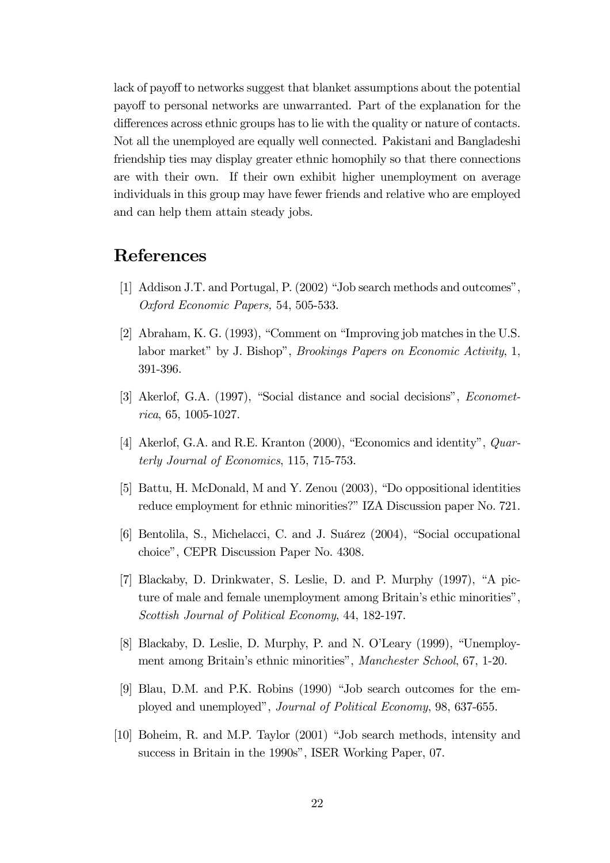lack of payoff to networks suggest that blanket assumptions about the potential payoff to personal networks are unwarranted. Part of the explanation for the differences across ethnic groups has to lie with the quality or nature of contacts. Not all the unemployed are equally well connected. Pakistani and Bangladeshi friendship ties may display greater ethnic homophily so that there connections are with their own. If their own exhibit higher unemployment on average individuals in this group may have fewer friends and relative who are employed and can help them attain steady jobs.

# References

- [1] Addison J.T. and Portugal, P. (2002) "Job search methods and outcomes", Oxford Economic Papers, 54, 505-533.
- [2] Abraham, K. G. (1993), "Comment on "Improving job matches in the U.S. labor market" by J. Bishop", Brookings Papers on Economic Activity, 1, 391-396.
- [3] Akerlof, G.A. (1997), "Social distance and social decisions", Econometrica, 65, 1005-1027.
- [4] Akerlof, G.A. and R.E. Kranton (2000), "Economics and identity", Quarterly Journal of Economics, 115, 715-753.
- [5] Battu, H. McDonald, M and Y. Zenou (2003), "Do oppositional identities reduce employment for ethnic minorities?" IZA Discussion paper No. 721.
- [6] Bentolila, S., Michelacci, C. and J. Suárez (2004), "Social occupational choice", CEPR Discussion Paper No. 4308.
- [7] Blackaby, D. Drinkwater, S. Leslie, D. and P. Murphy (1997), "A picture of male and female unemployment among Britain's ethic minorities", Scottish Journal of Political Economy, 44, 182-197.
- [8] Blackaby, D. Leslie, D. Murphy, P. and N. O'Leary (1999), "Unemployment among Britain's ethnic minorities", Manchester School, 67, 1-20.
- [9] Blau, D.M. and P.K. Robins (1990) "Job search outcomes for the employed and unemployed", Journal of Political Economy, 98, 637-655.
- [10] Boheim, R. and M.P. Taylor (2001) "Job search methods, intensity and success in Britain in the 1990s", ISER Working Paper, 07.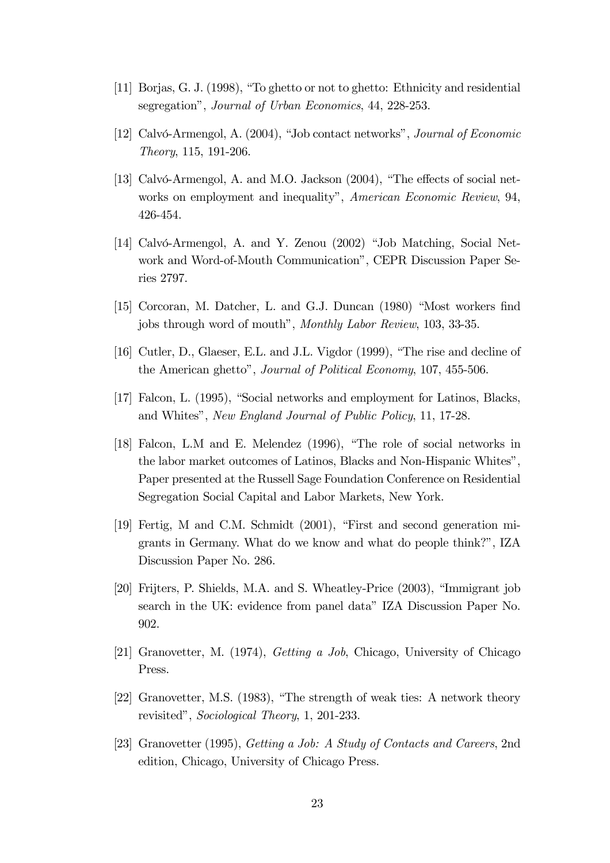- [11] Borjas, G. J. (1998), "To ghetto or not to ghetto: Ethnicity and residential segregation", Journal of Urban Economics, 44, 228-253.
- [12] Calvó-Armengol, A. (2004), "Job contact networks", Journal of Economic Theory, 115, 191-206.
- [13] Calvó-Armengol, A. and M.O. Jackson (2004), "The effects of social networks on employment and inequality", American Economic Review, 94, 426-454.
- [14] Calvó-Armengol, A. and Y. Zenou (2002) "Job Matching, Social Network and Word-of-Mouth Communication", CEPR Discussion Paper Series 2797.
- [15] Corcoran, M. Datcher, L. and G.J. Duncan (1980) "Most workers find jobs through word of mouth", Monthly Labor Review, 103, 33-35.
- [16] Cutler, D., Glaeser, E.L. and J.L. Vigdor (1999), "The rise and decline of the American ghetto", Journal of Political Economy, 107, 455-506.
- [17] Falcon, L. (1995), "Social networks and employment for Latinos, Blacks, and Whites", New England Journal of Public Policy, 11, 17-28.
- [18] Falcon, L.M and E. Melendez (1996), "The role of social networks in the labor market outcomes of Latinos, Blacks and Non-Hispanic Whites", Paper presented at the Russell Sage Foundation Conference on Residential Segregation Social Capital and Labor Markets, New York.
- [19] Fertig, M and C.M. Schmidt (2001), "First and second generation migrants in Germany. What do we know and what do people think?", IZA Discussion Paper No. 286.
- [20] Frijters, P. Shields, M.A. and S. Wheatley-Price (2003), "Immigrant job search in the UK: evidence from panel data" IZA Discussion Paper No. 902.
- [21] Granovetter, M. (1974), Getting a Job, Chicago, University of Chicago Press.
- [22] Granovetter, M.S. (1983), "The strength of weak ties: A network theory revisited", Sociological Theory, 1, 201-233.
- [23] Granovetter (1995), Getting a Job: A Study of Contacts and Careers, 2nd edition, Chicago, University of Chicago Press.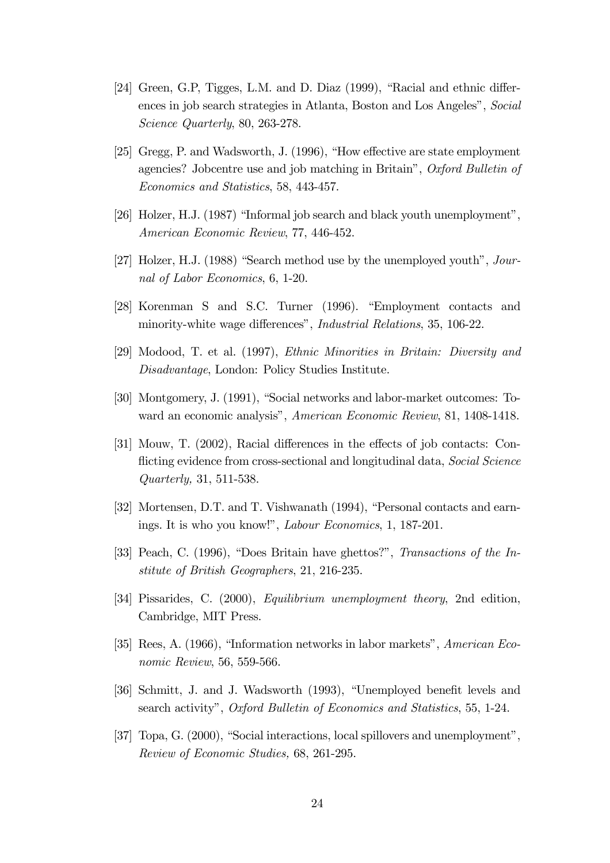- [24] Green, G.P, Tigges, L.M. and D. Diaz (1999), "Racial and ethnic differences in job search strategies in Atlanta, Boston and Los Angeles", Social Science Quarterly, 80, 263-278.
- [25] Gregg, P. and Wadsworth, J. (1996), "How effective are state employment agencies? Jobcentre use and job matching in Britain", Oxford Bulletin of Economics and Statistics, 58, 443-457.
- [26] Holzer, H.J. (1987) "Informal job search and black youth unemployment", American Economic Review, 77, 446-452.
- [27] Holzer, H.J. (1988) "Search method use by the unemployed youth", Journal of Labor Economics, 6, 1-20.
- [28] Korenman S and S.C. Turner (1996). "Employment contacts and minority-white wage differences", Industrial Relations, 35, 106-22.
- [29] Modood, T. et al. (1997), Ethnic Minorities in Britain: Diversity and Disadvantage, London: Policy Studies Institute.
- [30] Montgomery, J. (1991), "Social networks and labor-market outcomes: Toward an economic analysis", American Economic Review, 81, 1408-1418.
- [31] Mouw, T. (2002), Racial differences in the effects of job contacts: Conflicting evidence from cross-sectional and longitudinal data, Social Science Quarterly, 31, 511-538.
- [32] Mortensen, D.T. and T. Vishwanath (1994), "Personal contacts and earnings. It is who you know!", Labour Economics, 1, 187-201.
- [33] Peach, C. (1996), "Does Britain have ghettos?", Transactions of the Institute of British Geographers, 21, 216-235.
- [34] Pissarides, C. (2000), Equilibrium unemployment theory, 2nd edition, Cambridge, MIT Press.
- [35] Rees, A. (1966), "Information networks in labor markets", American Economic Review, 56, 559-566.
- [36] Schmitt, J. and J. Wadsworth (1993), "Unemployed benefit levels and search activity", Oxford Bulletin of Economics and Statistics, 55, 1-24.
- [37] Topa, G. (2000), "Social interactions, local spillovers and unemployment", Review of Economic Studies, 68, 261-295.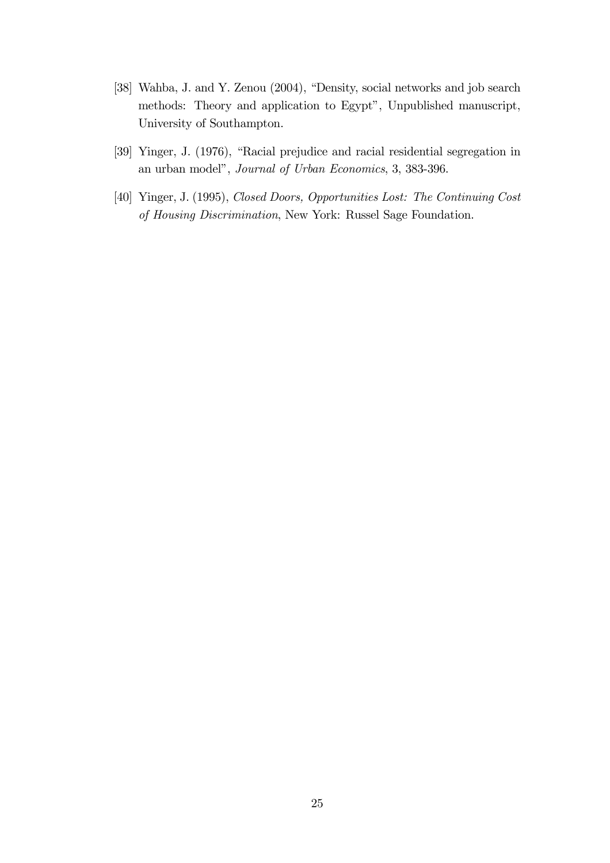- [38] Wahba, J. and Y. Zenou (2004), "Density, social networks and job search methods: Theory and application to Egypt", Unpublished manuscript, University of Southampton.
- [39] Yinger, J. (1976), "Racial prejudice and racial residential segregation in an urban model", Journal of Urban Economics, 3, 383-396.
- [40] Yinger, J. (1995), Closed Doors, Opportunities Lost: The Continuing Cost of Housing Discrimination, New York: Russel Sage Foundation.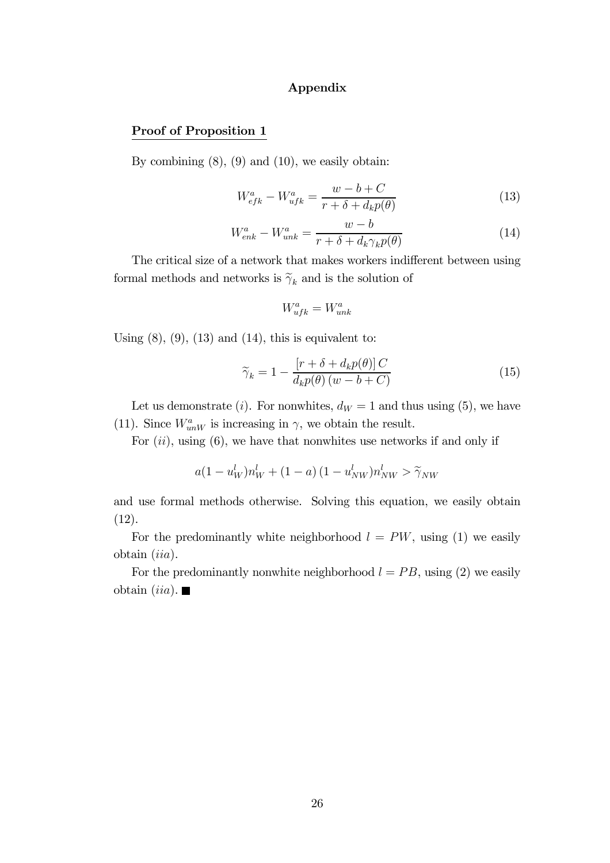#### Appendix

#### Proof of Proposition 1

By combining  $(8)$ ,  $(9)$  and  $(10)$ , we easily obtain:

$$
W_{efk}^{a} - W_{ufk}^{a} = \frac{w - b + C}{r + \delta + d_k p(\theta)}
$$
\n(13)

$$
W_{enk}^{a} - W_{unk}^{a} = \frac{w - b}{r + \delta + d_k \gamma_k p(\theta)}
$$
(14)

The critical size of a network that makes workers indifferent between using formal methods and networks is  $\widetilde{\gamma}_k$  and is the solution of

$$
W_{ufk}^a = W_{unk}^a
$$

Using  $(8)$ ,  $(9)$ ,  $(13)$  and  $(14)$ , this is equivalent to:

$$
\widetilde{\gamma}_k = 1 - \frac{\left[r + \delta + d_k p(\theta)\right]C}{d_k p(\theta)(w - b + C)}
$$
\n(15)

Let us demonstrate (*i*). For nonwhites,  $d_W = 1$  and thus using (5), we have (11). Since  $W^a_{unW}$  is increasing in  $\gamma$ , we obtain the result.

For  $(ii)$ , using  $(6)$ , we have that nonwhites use networks if and only if

$$
a(1 - u_W^l) n_W^l + (1 - a)(1 - u_{NW}^l) n_{NW}^l > \tilde{\gamma}_{NW}
$$

and use formal methods otherwise. Solving this equation, we easily obtain (12).

For the predominantly white neighborhood  $l = PW$ , using (1) we easily obtain (iia).

For the predominantly nonwhite neighborhood  $l = PB$ , using (2) we easily obtain *(iia)*.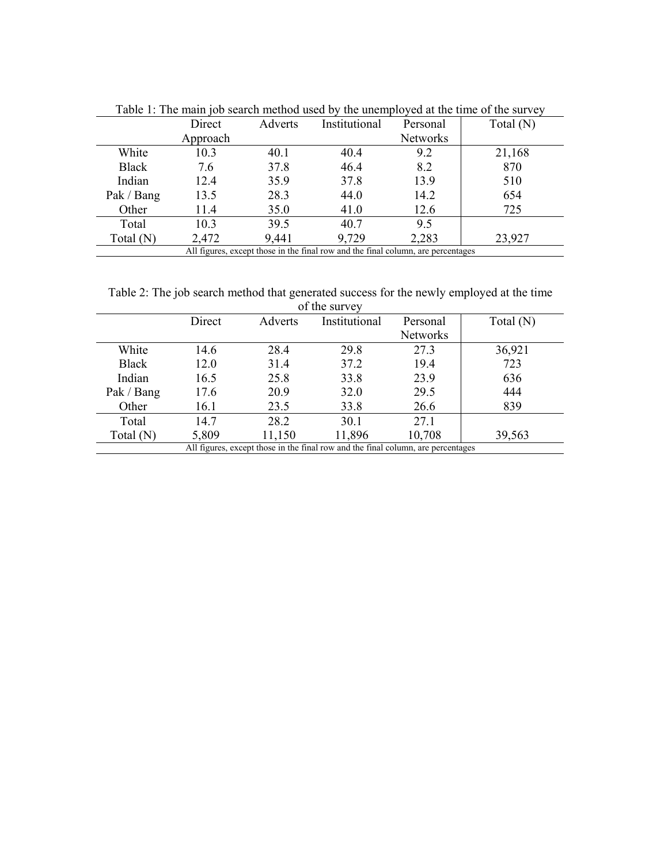|              | Direct   | Institutional<br>Adverts<br>Personal |                                                                                  | Total $(N)$     |        |
|--------------|----------|--------------------------------------|----------------------------------------------------------------------------------|-----------------|--------|
|              | Approach |                                      |                                                                                  | <b>Networks</b> |        |
| White        | 10.3     | 40.1                                 | 40.4                                                                             | 9.2             | 21,168 |
| <b>Black</b> | 7.6      | 37.8                                 | 46.4                                                                             | 8.2             | 870    |
| Indian       | 12.4     | 35.9                                 | 37.8                                                                             | 13.9            | 510    |
| Pak / Bang   | 13.5     | 28.3                                 | 44.0                                                                             | 14.2            | 654    |
| Other        | 11.4     | 35.0                                 | 41.0                                                                             | 12.6            | 725    |
| Total        | 10.3     | 39.5                                 | 40.7                                                                             | 9.5             |        |
| Total $(N)$  | 2,472    | 9,441                                | 9,729                                                                            | 2,283           | 23,927 |
|              |          |                                      | All figures, except those in the final row and the final column, are percentages |                 |        |

Table 1: The main job search method used by the unemployed at the time of the survey

Table 2: The job search method that generated success for the newly employed at the time

| of the survey |        |         |                                                                                  |                 |             |  |  |  |
|---------------|--------|---------|----------------------------------------------------------------------------------|-----------------|-------------|--|--|--|
|               | Direct | Adverts | Institutional                                                                    | Personal        | Total $(N)$ |  |  |  |
|               |        |         |                                                                                  | <b>Networks</b> |             |  |  |  |
| White         | 14.6   | 28.4    | 29.8                                                                             | 27.3            | 36,921      |  |  |  |
| <b>Black</b>  | 12.0   | 31.4    | 37.2                                                                             | 19.4            | 723         |  |  |  |
| Indian        | 16.5   | 25.8    | 33.8                                                                             | 23.9            | 636         |  |  |  |
| Pak / Bang    | 17.6   | 20.9    | 32.0                                                                             | 29.5            | 444         |  |  |  |
| Other         | 16.1   | 23.5    | 33.8                                                                             | 26.6            | 839         |  |  |  |
| Total         | 14.7   | 28.2    | 30.1                                                                             | 27.1            |             |  |  |  |
| Total (N)     | 5,809  | 11,150  | 11,896                                                                           | 10,708          | 39,563      |  |  |  |
|               |        |         | All figures, except those in the final row and the final column, are percentages |                 |             |  |  |  |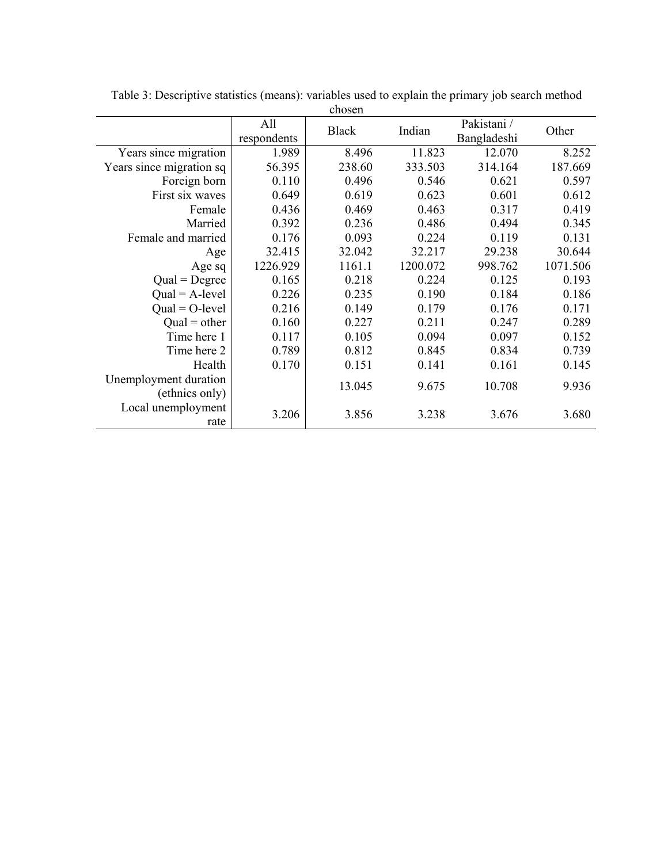| chosen                   |             |              |          |             |          |  |  |
|--------------------------|-------------|--------------|----------|-------------|----------|--|--|
|                          | All         | <b>Black</b> | Indian   | Pakistani / | Other    |  |  |
|                          | respondents |              |          | Bangladeshi |          |  |  |
| Years since migration    | 1.989       | 8.496        | 11.823   | 12.070      | 8.252    |  |  |
| Years since migration sq | 56.395      | 238.60       | 333.503  | 314.164     | 187.669  |  |  |
| Foreign born             | 0.110       | 0.496        | 0.546    | 0.621       | 0.597    |  |  |
| First six waves          | 0.649       | 0.619        | 0.623    | 0.601       | 0.612    |  |  |
| Female                   | 0.436       | 0.469        | 0.463    | 0.317       | 0.419    |  |  |
| Married                  | 0.392       | 0.236        | 0.486    | 0.494       | 0.345    |  |  |
| Female and married       | 0.176       | 0.093        | 0.224    | 0.119       | 0.131    |  |  |
| Age                      | 32.415      | 32.042       | 32.217   | 29.238      | 30.644   |  |  |
| Age sq                   | 1226.929    | 1161.1       | 1200.072 | 998.762     | 1071.506 |  |  |
| $Qual = Degree$          | 0.165       | 0.218        | 0.224    | 0.125       | 0.193    |  |  |
| $Qual = A-level$         | 0.226       | 0.235        | 0.190    | 0.184       | 0.186    |  |  |
| $Qual = O-level$         | 0.216       | 0.149        | 0.179    | 0.176       | 0.171    |  |  |
| $Qual = other$           | 0.160       | 0.227        | 0.211    | 0.247       | 0.289    |  |  |
| Time here 1              | 0.117       | 0.105        | 0.094    | 0.097       | 0.152    |  |  |
| Time here 2              | 0.789       | 0.812        | 0.845    | 0.834       | 0.739    |  |  |
| Health                   | 0.170       | 0.151        | 0.141    | 0.161       | 0.145    |  |  |
| Unemployment duration    |             | 13.045       | 9.675    | 10.708      | 9.936    |  |  |
| (ethnics only)           |             |              |          |             |          |  |  |
| Local unemployment       | 3.206       | 3.856        | 3.238    | 3.676       | 3.680    |  |  |
| rate                     |             |              |          |             |          |  |  |

Table 3: Descriptive statistics (means): variables used to explain the primary job search method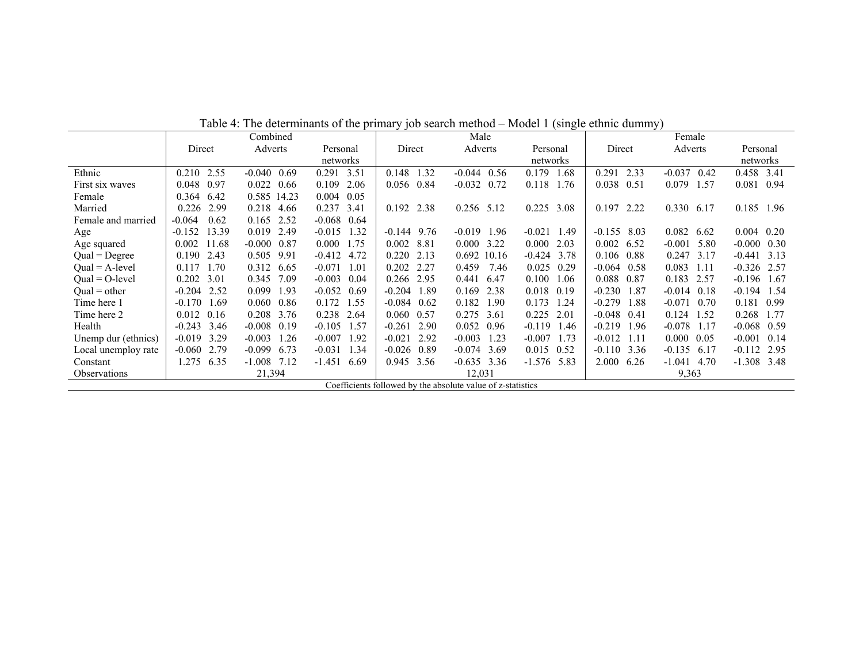|                     | Combined                                                    |                  |                  | Male             |                    | Female           |                    |                  |                     |
|---------------------|-------------------------------------------------------------|------------------|------------------|------------------|--------------------|------------------|--------------------|------------------|---------------------|
|                     | Direct                                                      | Adverts          | Personal         | Direct           | Adverts            | Personal         | Direct             | Adverts          | Personal            |
|                     |                                                             |                  | networks         |                  |                    | networks         |                    |                  | networks            |
| Ethnic              | 0.210<br>2.55                                               | $-0.040$ 0.69    | 0.291<br>3.51    | 0.148<br>1.32    | $-0.044$ 0.56      | 0.179<br>.68     | 0.291<br>2.33      | $-0.037$<br>0.42 | 0.458 3.41          |
| First six waves     | 0.97<br>0.048                                               | $0.022$ 0.66     | 0.109<br>2.06    | 0.056 0.84       | $-0.032$ 0.72      | 0.118<br>1.76    | 0.038 0.51         | 0.079<br>1.57    | 0.081<br>0.94       |
| Female              | 6.42<br>0.364                                               | 0.585 14.23      | 0.05<br>0.004    |                  |                    |                  |                    |                  |                     |
| Married             | 2.99<br>0.226                                               | 0.218 4.66       | 0.237<br>3.41    | 0.192 2.38       | $0.256$ 5.12       | 0.225 3.08       | 0.197 2.22         | 0.330<br>6.17    | 0.185 1.96          |
| Female and married  | 0.62<br>$-0.064$                                            | 0.165 2.52       | $-0.068$<br>0.64 |                  |                    |                  |                    |                  |                     |
| Age                 | 13.39<br>$-0.152$                                           | 0.019 2.49       | 1.32<br>$-0.015$ | $-0.144$<br>9.76 | $-0.019$ 1.96      | $-0.021$<br>1.49 | $-0.155$ 8.03      | 0.082<br>6.62    | $0.004$ 0.20        |
| Age squared         | 0.002<br>11.68                                              | $-0.000$ $0.87$  | 0.000<br>1.75    | 8.81<br>0.002    | $0.000 \quad 3.22$ | 0.000<br>2.03    | $0.002 \quad 6.52$ | $-0.001$<br>5.80 | $-0.000 \quad 0.30$ |
| $Qual = Degree$     | 0.190<br>2.43                                               | 0.505 9.91       | $-0.412$<br>4.72 | 0.220<br>2.13    | 0.692<br>10.16     | $-0.424$<br>3.78 | 0.106 0.88         | 0.247<br>3.17    | $-0.441$ 3.13       |
| $Qual = A-level$    | 1.70<br>0.117                                               | 0.312 6.65       | $-0.071$<br>1.01 | 0.202<br>2.27    | 0.459<br>7.46      | 0.025<br>0.29    | $-0.064$ 0.58      | 0.083<br>1.11    | $-0.326$ 2.57       |
| $Qual = O-level$    | 0.202<br>3.01                                               | 7.09<br>0.345    | $-0.003$<br>0.04 | 0.266 2.95       | 0.441<br>6.47      | 0.100<br>1.06    | 0.088 0.87         | 0.183<br>2.57    | $-0.196$ 1.67       |
| $Qual = other$      | $-0.204$ 2.52                                               | 1.93<br>0.099    | $-0.052$<br>0.69 | $-0.204$<br>1.89 | 0.169<br>2.38      | 0.018<br>0.19    | $-0.230$<br>1.87   | $-0.014$<br>0.18 | $-0.194$ 1.54       |
| Time here 1         | 1.69<br>$-0.170$                                            | 0.86<br>0.060    | 0.172<br>1.55    | $-0.084$<br>0.62 | 0.182<br>1.90      | 0.173<br>1.24    | $-0.279$<br>1.88   | $-0.071$<br>0.70 | 0.181<br>0.99       |
| Time here 2         | $0.012 \quad 0.16$                                          | 0.208 3.76       | 0.238<br>2.64    | 0.060 0.57       | 0.275<br>3.61      | 0.225<br>2.01    | $-0.048$<br>0.41   | 0.124<br>1.52    | 0.268<br>1.77       |
| Health              | 3.46<br>$-0.243$                                            | $-0.008$ 0.19    | $-0.105$<br>1.57 | $-0.261$<br>2.90 | 0.052<br>0.96      | $-0.119$<br>1.46 | $-0.219$<br>1.96   | $-0.078$<br>1.17 | $-0.068$ 0.59       |
| Unemp dur (ethnics) | 3.29<br>$-0.019$                                            | $-0.003$<br>1.26 | $-0.007$<br>1.92 | $-0.021$<br>2.92 | $-0.003$<br>1.23   | $-0.007$<br>1.73 | $-0.012$ 1.11      | 0.000<br>0.05    | $-0.001$ 0.14       |
| Local unemploy rate | 2.79<br>$-0.060$                                            | 6.73<br>$-0.099$ | $-0.031$<br>1.34 | $-0.026$<br>0.89 | $-0.074$<br>3.69   | 0.015<br>0.52    | $-0.110$ 3.36      | $-0.135$<br>6.17 | $-0.112$<br>2.95    |
| Constant            | 1.275<br>6.35                                               | 7.12<br>$-1.008$ | $-1.451$<br>6.69 | 0.945 3.56       | $-0.635$ 3.36      | $-1.576$<br>5.83 | 2.000<br>6.26      | $-1.041$<br>4.70 | $-1.308$ 3.48       |
| <b>Observations</b> |                                                             | 21,394           |                  |                  | 12,031             |                  | 9,363              |                  |                     |
|                     | Coefficients followed by the absolute value of z-statistics |                  |                  |                  |                    |                  |                    |                  |                     |

Table 4: The determinants of the primary job search method – Model 1 (single ethnic dummy)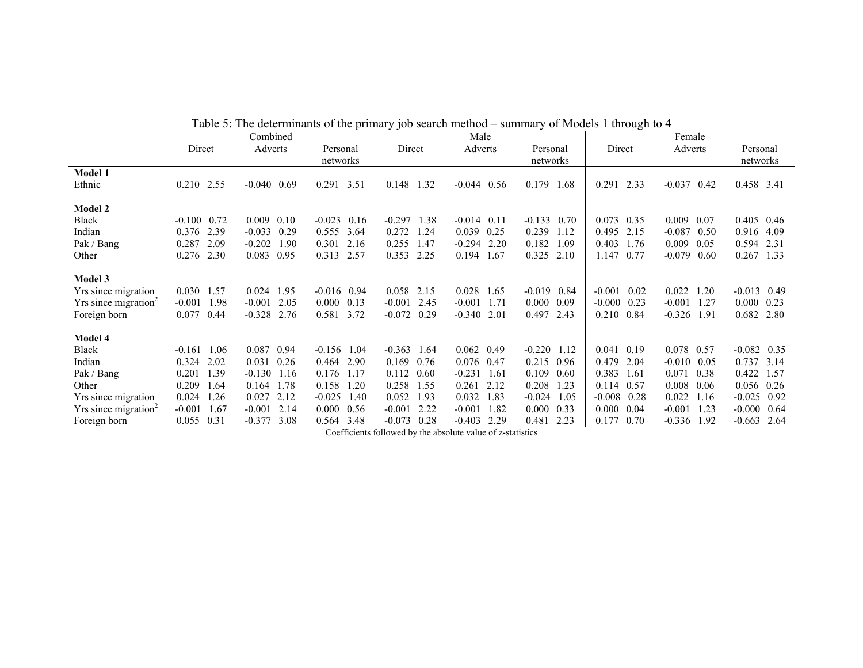|                                    |                  | Combined                                                    |                  |                  | Male              |                  |                  | Female           |                    |
|------------------------------------|------------------|-------------------------------------------------------------|------------------|------------------|-------------------|------------------|------------------|------------------|--------------------|
|                                    | Direct           | Adverts                                                     | Personal         | Direct           | Adverts           | Personal         | Direct           | Adverts          | Personal           |
|                                    |                  |                                                             | networks         |                  |                   | networks         |                  |                  | networks           |
| <b>Model 1</b>                     |                  |                                                             |                  |                  |                   |                  |                  |                  |                    |
| Ethnic                             | 0.210 2.55       | $-0.040$ 0.69                                               | 0.291 3.51       | 0.148 1.32       | $-0.044$ 0.56     | 0.179<br>1.68    | 2.33<br>0.291    | $-0.037$ 0.42    | 0.458 3.41         |
|                                    |                  |                                                             |                  |                  |                   |                  |                  |                  |                    |
| <b>Model 2</b>                     |                  |                                                             |                  |                  |                   |                  |                  |                  |                    |
| Black                              | $-0.100$ 0.72    | 0.009<br>0.10                                               | $-0.023$<br>0.16 | $-0.297$<br>1.38 | $-0.014$ 0.11     | $-0.133$<br>0.70 | $0.073$ 0.35     | 0.009<br>0.07    | $0.405$ 0.46       |
| Indian                             | 2.39<br>0.376    | $-0.033$ 0.29                                               | 0.555 3.64       | 0.272<br>1.24    | 0.039<br>0.25     | 0.239<br>1.12    | 0.495<br>2.15    | $-0.087$<br>0.50 | 0.916 4.09         |
| Pak / Bang                         | 0.287<br>2.09    | $-0.202$<br>1.90                                            | 0.301<br>2.16    | 0.255<br>1.47    | $-0.294$<br>2.20  | 0.182<br>1.09    | 0.403<br>1.76    | 0.009<br>0.05    | 0.594 2.31         |
| Other                              | 0.276<br>2.30    | 0.083<br>0.95                                               | 0.313<br>2.57    | 0.353<br>2.25    | 0.194<br>1.67     | 0.325<br>2.10    | 1.147<br>0.77    | $-0.079$<br>0.60 | 0.267<br>1.33      |
|                                    |                  |                                                             |                  |                  |                   |                  |                  |                  |                    |
| Model 3                            |                  |                                                             |                  |                  |                   |                  |                  |                  |                    |
| Yrs since migration                | 0.030 1.57       | 0.024 1.95                                                  | $-0.016$ 0.94    | 0.058 2.15       | 0.028<br>1.65     | $-0.019$<br>0.84 | $-0.001$ 0.02    | 0.022<br>1.20    | $-0.013$ 0.49      |
| $Yrs$ since migration <sup>2</sup> | $-0.001$<br>1.98 | $-0.001$<br>2.05                                            | 0.000<br>0.13    | 2.45<br>$-0.001$ | $-0.001$<br>1.71  | 0.000<br>0.09    | $-0.000$<br>0.23 | $-0.001$<br>1.27 | $0.000 \quad 0.23$ |
| Foreign born                       | 0.077<br>0.44    | $-0.328$ 2.76                                               | 0.581<br>3.72    | $-0.072$<br>0.29 | $-0.340$<br>2.01  | 0.497<br>2.43    | 0.210<br>0.84    | $-0.326$<br>1.91 | 0.682<br>2.80      |
|                                    |                  |                                                             |                  |                  |                   |                  |                  |                  |                    |
| Model 4                            |                  |                                                             |                  |                  |                   |                  |                  |                  |                    |
| Black                              | 1.06<br>$-0.161$ | 0.087<br>0.94                                               | $-0.156$ 1.04    | $-0.363$<br>1.64 | $0.062$ 0.49      | $-0.220$<br>1.12 | 0.041 0.19       | 0.078 0.57       | $-0.082$ 0.35      |
| Indian                             | 0.324<br>2.02    | $0.031$ 0.26                                                | 0.464<br>2.90    | 0.169<br>0.76    | 0.076 0.47        | 0.215<br>0.96    | 0.479<br>2.04    | $-0.010$<br>0.05 | 0.737 3.14         |
| Pak / Bang                         | 0.201<br>1.39    | $-0.130$ 1.16                                               | 0.176<br>1.17    | 0.60<br>0.112    | $-0.231$<br>-1.61 | 0.109<br>0.60    | 0.383<br>1.61    | 0.071<br>0.38    | 0.422 1.57         |
| Other                              | 0.209<br>1.64    | 0.164 1.78                                                  | 0.158<br>1.20    | 0.258<br>1.55    | 0.261<br>2.12     | 0.208<br>1.23    | 0.114 0.57       | 0.008<br>0.06    | $0.056$ 0.26       |
| Yrs since migration                | 0.024<br>1.26    | 2.12<br>0.027                                               | $-0.025$<br>1.40 | 0.052<br>1.93    | 0.032<br>1.83     | $-0.024$<br>1.05 | $-0.008$ 0.28    | 0.022<br>1.16    | $-0.025$<br>0.92   |
| $Yrs$ since migration <sup>2</sup> | $-0.001$<br>1.67 | $-0.001$ 2.14                                               | 0.000<br>0.56    | $-0.001$<br>2.22 | $-0.001$<br>1.82  | 0.000<br>0.33    | 0.000<br>0.04    | $-0.001$<br>1.23 | $-0.000$<br>0.64   |
| Foreign born                       | 0.055 0.31       | $-0.377$<br>3.08                                            | 3.48<br>0.564    | $-0.073$<br>0.28 | $-0.403$<br>2.29  | 0.481<br>2.23    | 0.177<br>0.70    | $-0.336$<br>1.92 | $-0.663$<br>2.64   |
|                                    |                  | Coefficients followed by the absolute value of z-statistics |                  |                  |                   |                  |                  |                  |                    |

Table 5: The determinants of the primary job search method – summary of Models 1 through to 4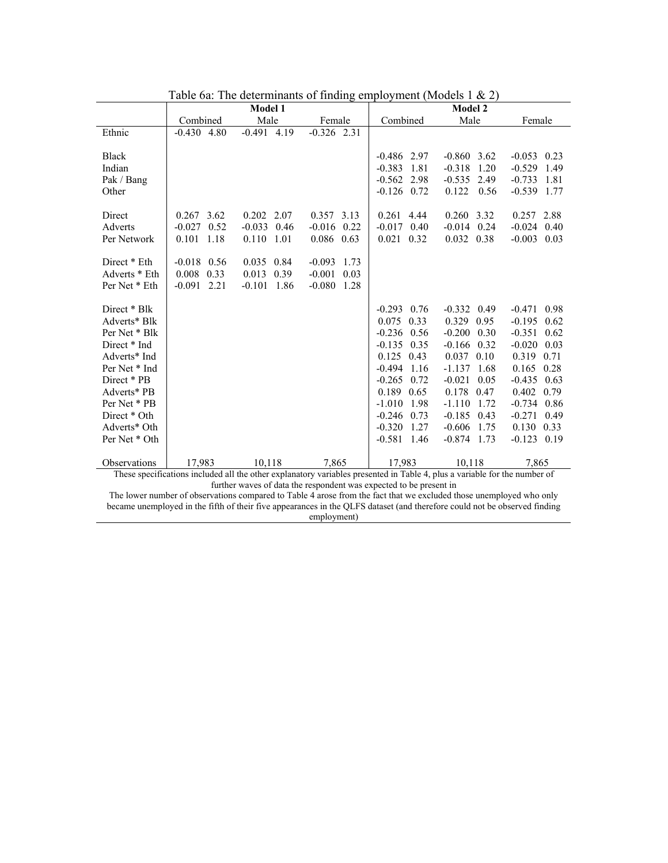|                                                |                                                    | <b>Model 1</b>                                                                                                                      |                                                          | <b>Model 2</b>                                                      |                                                                        |                                                                           |  |
|------------------------------------------------|----------------------------------------------------|-------------------------------------------------------------------------------------------------------------------------------------|----------------------------------------------------------|---------------------------------------------------------------------|------------------------------------------------------------------------|---------------------------------------------------------------------------|--|
|                                                | Combined                                           | Male                                                                                                                                | Female                                                   | Combined                                                            | Male                                                                   | Female                                                                    |  |
| Ethnic                                         | $-0.430 + 4.80$                                    | $-0.491$ 4.19                                                                                                                       | $-0.326$ 2.31                                            |                                                                     |                                                                        |                                                                           |  |
| <b>Black</b><br>Indian<br>Pak / Bang<br>Other  |                                                    |                                                                                                                                     |                                                          | $-0.486$ 2.97<br>$-0.383$<br>1.81<br>$-0.562$ 2.98<br>$-0.126$ 0.72 | $-0.860$ 3.62<br>$-0.318$<br>1.20<br>$-0.535$<br>2.49<br>0.122<br>0.56 | $-0.053$ 0.23<br>1.49<br>$-0.529$<br>$-0.733$<br>1.81<br>$-0.539$<br>1.77 |  |
| Direct                                         | $0.267$ 3.62                                       | $0.202$ 2.07                                                                                                                        | 0.357 3.13                                               | 0.261 4.44                                                          | 0.260 3.32                                                             | 0.257 2.88                                                                |  |
| Adverts                                        | $-0.027$ 0.52                                      | $-0.033$ 0.46                                                                                                                       | $-0.016$ 0.22                                            | $-0.017$ 0.40                                                       | $-0.014$ 0.24                                                          | $-0.024$ 0.40                                                             |  |
| Per Network                                    | 0.101 1.18                                         | 0.110 1.01                                                                                                                          | 0.086 0.63                                               | $0.021$ 0.32                                                        | 0.032 0.38                                                             | $-0.003$ 0.03                                                             |  |
| Direct * Eth<br>Adverts * Eth<br>Per Net * Eth | $-0.018$ 0.56<br>0.008<br>0.33<br>$-0.091$<br>2.21 | 0.035 0.84<br>0.013<br>0.39<br>$-0.101$<br>-1.86                                                                                    | $-0.093$<br>1.73<br>$-0.001$<br>0.03<br>$-0.080$<br>1.28 |                                                                     |                                                                        |                                                                           |  |
| Direct * Blk                                   |                                                    |                                                                                                                                     |                                                          | $-0.293$<br>0.76                                                    | $-0.332$ 0.49                                                          | $-0.471$ 0.98                                                             |  |
| Adverts* Blk                                   |                                                    |                                                                                                                                     |                                                          | $0.075$ 0.33                                                        | 0.329 0.95                                                             | $-0.195$<br>0.62                                                          |  |
| Per Net * Blk                                  |                                                    |                                                                                                                                     |                                                          | $-0.236$ 0.56                                                       | $-0.200$<br>0.30                                                       | $-0.351$<br>0.62                                                          |  |
| Direct * Ind                                   |                                                    |                                                                                                                                     |                                                          | $-0.135$ 0.35                                                       | $-0.166$<br>0.32                                                       | $-0.020$<br>0.03                                                          |  |
| Adverts* Ind                                   |                                                    |                                                                                                                                     |                                                          | $0.125$ 0.43                                                        | $0.037$ 0.10                                                           | 0.319<br>0.71                                                             |  |
| Per Net * Ind                                  |                                                    |                                                                                                                                     |                                                          | $-0.494$<br>1.16                                                    | $-1.137$ 1.68                                                          | 0.165<br>0.28                                                             |  |
| Direct * PB                                    |                                                    |                                                                                                                                     |                                                          | $-0.265$<br>0.72                                                    | $-0.021$<br>0.05                                                       | $-0.435$ 0.63                                                             |  |
| Adverts* PB                                    |                                                    |                                                                                                                                     |                                                          | 0.189<br>0.65                                                       | 0.178<br>0.47                                                          | 0.402 0.79                                                                |  |
| Per Net * PB                                   |                                                    |                                                                                                                                     |                                                          | $-1.010$<br>1.98                                                    | $-1.110$<br>1.72                                                       | $-0.734$ 0.86                                                             |  |
| Direct * Oth                                   |                                                    |                                                                                                                                     |                                                          | $-0.246$<br>0.73                                                    | $-0.185$<br>0.43                                                       | $-0.271$<br>0.49                                                          |  |
| Adverts* Oth                                   |                                                    |                                                                                                                                     |                                                          | $-0.320$<br>1.27                                                    | $-0.606$<br>1.75                                                       | $0.130 \quad 0.33$                                                        |  |
| Per Net * Oth                                  |                                                    |                                                                                                                                     |                                                          | $-0.581$ 1.46                                                       | $-0.874$ 1.73                                                          | $-0.123$ 0.19                                                             |  |
| Observations                                   | 17,983                                             | 10,118<br>These specifications included all the other explanatory variables presented in Table 4, plus a variable for the number of | 7,865                                                    | 17,983                                                              | 10,118                                                                 | 7,865                                                                     |  |

Table 6a: The determinants of finding employment (Models 1 & 2)

further waves of data the respondent was expected to be present in

The lower number of observations compared to Table 4 arose from the fact that we excluded those unemployed who only became unemployed in the fifth of their five appearances in the QLFS dataset (and therefore could not be observed finding employment)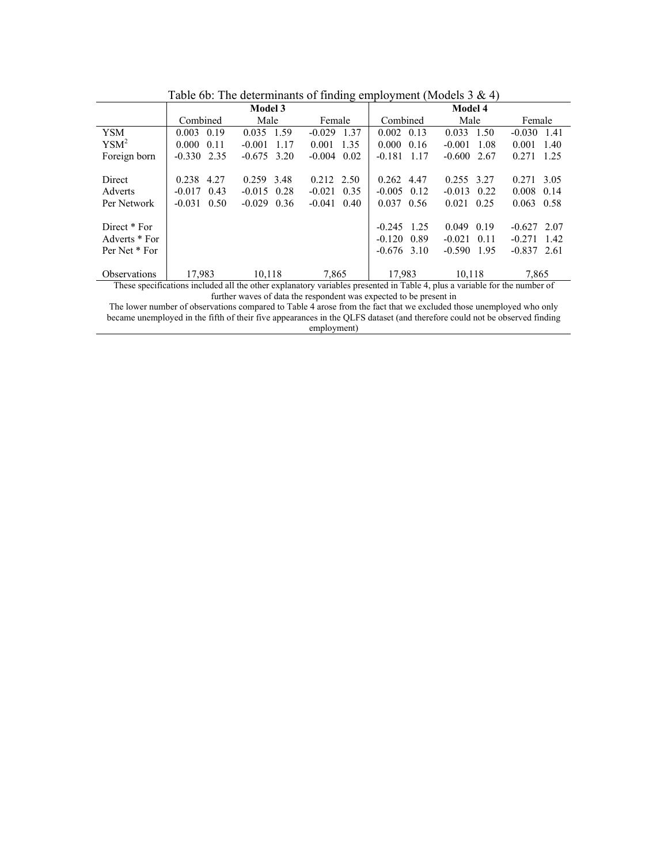|                     |                                                                                                                           | <b>Model 3</b>   |                  | <b>Model 4</b>     |                  |                  |  |  |
|---------------------|---------------------------------------------------------------------------------------------------------------------------|------------------|------------------|--------------------|------------------|------------------|--|--|
|                     | Combined                                                                                                                  | Male             | Female           | Combined           | Male             | Female           |  |  |
| <b>YSM</b>          | 0.19<br>0.003                                                                                                             | 0.035<br>1.59    | 1.37<br>$-0.029$ | $0.002 \quad 0.13$ | 0.033<br>1.50    | 1.41<br>$-0.030$ |  |  |
| YSM <sup>2</sup>    | 0.11<br>0.000                                                                                                             | $-0.001$<br>1.17 | 1.35<br>0.001    | $0.000 \quad 0.16$ | $-0.001$<br>1.08 | 1.40<br>0.001    |  |  |
| Foreign born        | $-0.330$ 2.35                                                                                                             | $-0.675$ 3.20    | $-0.004$<br>0.02 | $-0.181$ 1.17      | $-0.600$ 2.67    | 0.271<br>1.25    |  |  |
|                     |                                                                                                                           |                  |                  |                    |                  |                  |  |  |
| Direct              | 0.238 4.27                                                                                                                | 0.259 3.48       | $0.212$ 2.50     | $0.262$ 4.47       | 0.255 3.27       | 0.271<br>3.05    |  |  |
| Adverts             | $-0.017$<br>0.43                                                                                                          | 0.28<br>$-0.015$ | $-0.021$<br>0.35 | $-0.005$ 0.12      | $-0.013$<br>0.22 | 0.008<br>0.14    |  |  |
| Per Network         | $-0.031$ 0.50                                                                                                             | $-0.029$ 0.36    | 0.40<br>$-0.041$ | $0.037$ 0.56       | $0.021$ 0.25     | 0.063<br>0.58    |  |  |
|                     |                                                                                                                           |                  |                  |                    |                  |                  |  |  |
| Direct * For        |                                                                                                                           |                  |                  | $-0.245$ 1.25      | 0.049<br>0.19    | $-0.627$ 2.07    |  |  |
| Adverts * For       |                                                                                                                           |                  |                  | $-0.120$ $0.89$    | $-0.021$<br>0.11 | $-0.271$<br>142  |  |  |
| Per Net * For       |                                                                                                                           |                  |                  | $-0.676$ 3.10      | $-0.590$<br>195  | $-0.837$ 2.61    |  |  |
|                     |                                                                                                                           |                  |                  |                    |                  |                  |  |  |
| <b>Observations</b> | 17,983                                                                                                                    | 10,118           | 7,865            | 17,983             | 10,118           | 7.865            |  |  |
|                     | These specifications included all the other explanatory variables presented in Table 4, plus a variable for the number of |                  |                  |                    |                  |                  |  |  |

Table 6b: The determinants of finding employment (Models 3 & 4)

further waves of data the respondent was expected to be present in

The lower number of observations compared to Table 4 arose from the fact that we excluded those unemployed who only became unemployed in the fifth of their five appearances in the QLFS dataset (and therefore could not be observed finding employment)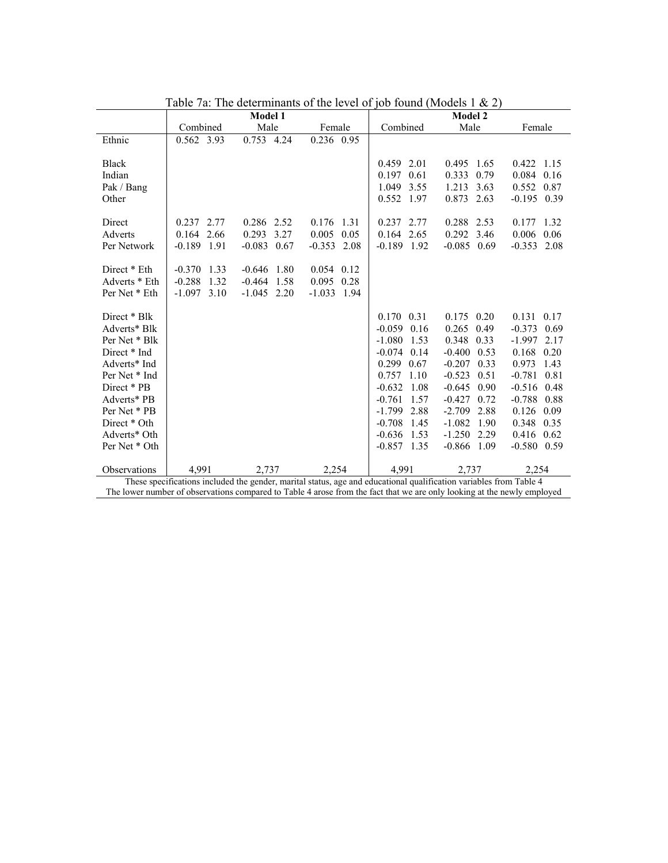|                                                                                                                    | Factor <i>of the determinants</i> of the level of job found (proders f $\alpha$ $\angle$ ) |  |  |  |
|--------------------------------------------------------------------------------------------------------------------|--------------------------------------------------------------------------------------------|--|--|--|
| <b>Model 1</b>                                                                                                     | <b>Model 2</b>                                                                             |  |  |  |
| Combined<br>Male<br>Female                                                                                         | Combined<br>Male<br>Female                                                                 |  |  |  |
| Ethnic<br>0.562 3.93<br>0.753 4.24<br>0.236 0.95                                                                   |                                                                                            |  |  |  |
|                                                                                                                    |                                                                                            |  |  |  |
| <b>Black</b>                                                                                                       | 0.459 2.01<br>0.495 1.65<br>0.422<br>1.15                                                  |  |  |  |
| Indian                                                                                                             | 0.084<br>0.197<br>0.61<br>0.333<br>0.79<br>0.16                                            |  |  |  |
| Pak / Bang                                                                                                         | 0.552<br>1.049<br>3.55<br>1.213<br>3.63<br>0.87                                            |  |  |  |
| Other                                                                                                              | 0.552 1.97<br>$-0.195$ 0.39<br>0.873 2.63                                                  |  |  |  |
|                                                                                                                    |                                                                                            |  |  |  |
| 0.286 2.52<br>Direct<br>0.237 2.77<br>0.176 1.31                                                                   | 0.237 2.77<br>0.288 2.53<br>1.32<br>0.177                                                  |  |  |  |
| 0.293<br>3.27<br>0.005<br>Adverts<br>0.164 2.66                                                                    | 0.164 2.65<br>0.292 3.46<br>0.05<br>0.006<br>0.06                                          |  |  |  |
| $-0.189$ 1.91<br>$-0.083$ 0.67<br>Per Network<br>$-0.353$                                                          | $-0.085$ 0.69<br>2.08<br>$-0.189$ 1.92<br>$-0.353$ 2.08                                    |  |  |  |
|                                                                                                                    |                                                                                            |  |  |  |
| $-0.370$<br>1.33<br>Direct * Eth<br>$-0.646$<br>1.80<br>$0.054$ 0.12                                               |                                                                                            |  |  |  |
| Adverts * Eth<br>$-0.288$<br>$0.095$ 0.28<br>1.32<br>$-0.464$<br>1.58                                              |                                                                                            |  |  |  |
| $-1.097$ 3.10<br>$-1.045$ 2.20<br>$-1.033$ 1.94<br>Per Net * Eth                                                   |                                                                                            |  |  |  |
|                                                                                                                    |                                                                                            |  |  |  |
| Direct * Blk                                                                                                       | 0.170 0.31<br>0.175 0.20<br>0.131<br>0.17                                                  |  |  |  |
| Adverts* Blk                                                                                                       | $-0.059$ 0.16<br>0.265 0.49<br>$-0.373$<br>0.69                                            |  |  |  |
| Per Net * Blk                                                                                                      | $-1.080$<br>1.53<br>0.348 0.33<br>$-1.997$<br>2.17                                         |  |  |  |
| Direct * Ind                                                                                                       | $-0.074$<br>$-0.400$ 0.53<br>0.14<br>0.168<br>0.20                                         |  |  |  |
| Adverts* Ind                                                                                                       | 0.299<br>$-0.207$<br>0.67<br>0.33<br>0.973<br>1.43                                         |  |  |  |
| Per Net * Ind                                                                                                      | 0.757<br>1.10<br>$-0.523$<br>0.51<br>0.81<br>$-0.781$                                      |  |  |  |
| Direct * PB                                                                                                        | $-0.632$<br>1.08<br>$-0.645$<br>0.90<br>$-0.516$<br>0.48                                   |  |  |  |
| Adverts* PB                                                                                                        | $-0.761$<br>$-0.427$<br>1.57<br>0.72<br>$-0.788$ 0.88                                      |  |  |  |
| Per Net * PB                                                                                                       | $-1.799$<br>2.88<br>$-2.709$<br>2.88<br>0.126<br>0.09                                      |  |  |  |
| Direct * Oth                                                                                                       | $-0.708$<br>$-1.082$<br>1.90<br>0.348<br>0.35<br>1.45                                      |  |  |  |
| Adverts* Oth                                                                                                       | $-0.636$<br>$-1.250$ 2.29<br>0.416<br>0.62<br>1.53                                         |  |  |  |
| Per Net * Oth                                                                                                      | $-0.857$<br>1.35<br>$-0.866$ 1.09<br>$-0.580$ 0.59                                         |  |  |  |
|                                                                                                                    |                                                                                            |  |  |  |
| Observations<br>4.991<br>2.254<br>2.737                                                                            | 4.991<br>2.737<br>2.254                                                                    |  |  |  |
| These specifications included the gender, marital status, age and educational qualification variables from Table 4 |                                                                                            |  |  |  |

Table 7a: The determinants of the level of job found (Models 1 & 2)

The lower number of observations compared to Table 4 arose from the fact that we are only looking at the newly employed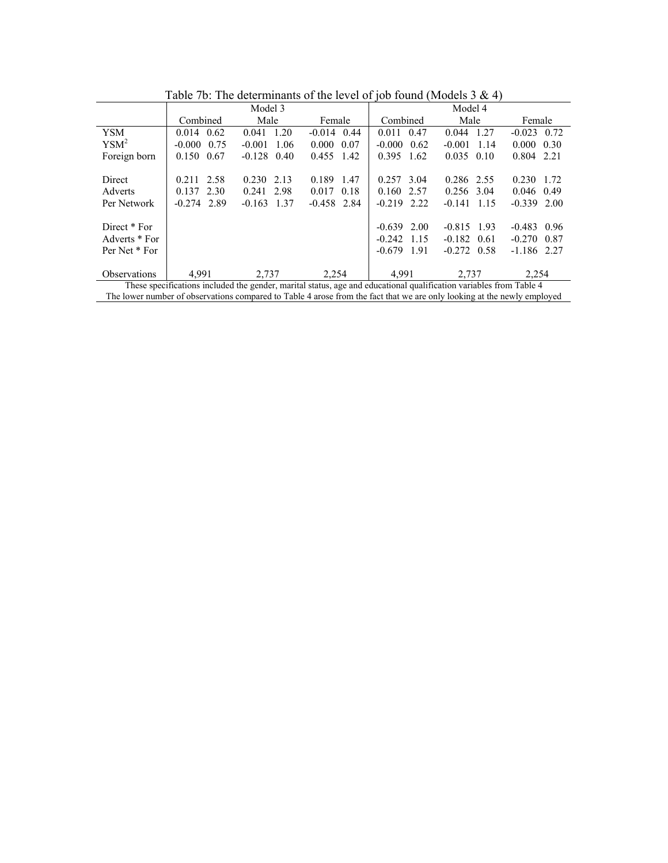| $1000$ and $1000$ and $1000$ and $1000$ and $1000$ and $1000$ and $1000$ and $1000$ and $1000$ and $1000$ and $1000$ and $1000$ and $1000$ and $1000$ and $1000$ and $1000$ and $1000$ and $1000$ and $1000$ and $1000$ and |                                                                                                                         |                  |                    |                    |                  |                  |  |  |
|-----------------------------------------------------------------------------------------------------------------------------------------------------------------------------------------------------------------------------|-------------------------------------------------------------------------------------------------------------------------|------------------|--------------------|--------------------|------------------|------------------|--|--|
|                                                                                                                                                                                                                             |                                                                                                                         | Model 3          |                    | Model 4            |                  |                  |  |  |
|                                                                                                                                                                                                                             | Combined                                                                                                                | Male             | Female             | Combined           | Male             | Female           |  |  |
| <b>YSM</b>                                                                                                                                                                                                                  | $0.014 \quad 0.62$                                                                                                      | 1.20<br>0.041    | $-0.014$ 0.44      | $0.011 \quad 0.47$ | 0.044 1.27       | $-0.023$<br>0.72 |  |  |
| YSM <sup>2</sup>                                                                                                                                                                                                            | $-0.000 \quad 0.75$                                                                                                     | $-0.001$<br>1.06 | $0.000 \quad 0.07$ | $-0.000$<br>0.62   | $-0.001$<br>1.14 | 0.000<br>0.30    |  |  |
| Foreign born                                                                                                                                                                                                                | 0.150 0.67                                                                                                              | $-0.128$<br>0.40 | 0.455 1.42         | 0.395<br>1.62      | $0.035$ 0.10     | 0.804 2.21       |  |  |
|                                                                                                                                                                                                                             |                                                                                                                         |                  |                    |                    |                  |                  |  |  |
| Direct                                                                                                                                                                                                                      | 0.211 2.58                                                                                                              | 2.13<br>0.230    | 0.189<br>1.47      | 3.04<br>0.257      | 0.286 2.55       | 0.230<br>1.72    |  |  |
| <b>Adverts</b>                                                                                                                                                                                                              | 0.137 2.30                                                                                                              | 0.241 2.98       | 0.18<br>0.017      | 0.160<br>2.57      | $0.256$ 3.04     | 0.49<br>0.046    |  |  |
| Per Network                                                                                                                                                                                                                 | $-0.274$ 2.89                                                                                                           | $-0.163$<br>1.37 | $-0.458$ 2.84      | $-0.219$ 2.22      | $-0.141$ 1.15    | $-0.339$ 2.00    |  |  |
|                                                                                                                                                                                                                             |                                                                                                                         |                  |                    |                    |                  |                  |  |  |
| Direct * For                                                                                                                                                                                                                |                                                                                                                         |                  |                    | $-0.639$ 2.00      | $-0.815$ 1.93    | $-0.483$ 0.96    |  |  |
| Adverts * For                                                                                                                                                                                                               |                                                                                                                         |                  |                    | $-0.242$ 1.15      | $-0.182$ 0.61    | $-0.270$ 0.87    |  |  |
| Per Net * For                                                                                                                                                                                                               |                                                                                                                         |                  |                    | $-0.679$<br>1.91   | $-0.272$ 0.58    | $-1.186$ 2.27    |  |  |
|                                                                                                                                                                                                                             |                                                                                                                         |                  |                    |                    |                  |                  |  |  |
| <b>Observations</b>                                                                                                                                                                                                         | 4,991                                                                                                                   | 2,737            | 2,254              | 4,991              | 2,737            | 2,254            |  |  |
| These specifications included the gender, marital status, age and educational qualification variables from Table 4                                                                                                          |                                                                                                                         |                  |                    |                    |                  |                  |  |  |
|                                                                                                                                                                                                                             | The lower number of observations compared to Table 4 arose from the fact that we are only looking at the newly employed |                  |                    |                    |                  |                  |  |  |

Table 7b: The determinants of the level of job found (Models 3 & 4)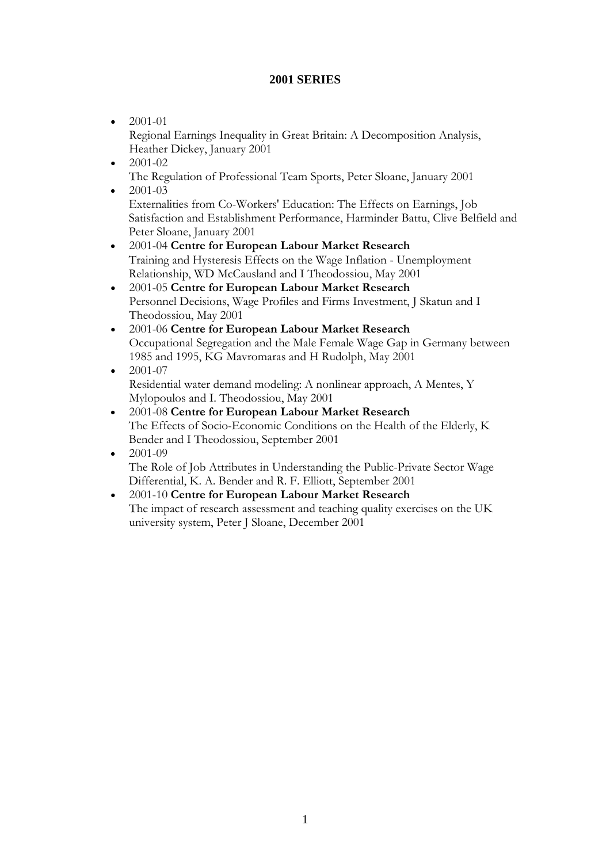### **2001 SERIES**

- $2001-01$ Regional Earnings Inequality in Great Britain: A Decomposition Analysis, Heather Dickey, January 2001
- 2001-02 The Regulation of Professional Team Sports, Peter Sloane, January 2001
- $2001 03$

Externalities from Co-Workers' Education: The Effects on Earnings, Job Satisfaction and Establishment Performance, Harminder Battu, Clive Belfield and Peter Sloane, January 2001

- 2001-04 **Centre for European Labour Market Research** Training and Hysteresis Effects on the Wage Inflation - Unemployment Relationship, WD McCausland and I Theodossiou, May 2001
- 2001-05 **Centre for European Labour Market Research** Personnel Decisions, Wage Profiles and Firms Investment, J Skatun and I Theodossiou, May 2001
- 2001-06 **Centre for European Labour Market Research** Occupational Segregation and the Male Female Wage Gap in Germany between 1985 and 1995, KG Mavromaras and H Rudolph, May 2001
- 2001-07 Residential water demand modeling: A nonlinear approach, A Mentes, Y Mylopoulos and I. Theodossiou, May 2001
- 2001-08 **Centre for European Labour Market Research** The Effects of Socio-Economic Conditions on the Health of the Elderly, K Bender and I Theodossiou, September 2001
- 2001-09 The Role of Job Attributes in Understanding the Public-Private Sector Wage Differential, K. A. Bender and R. F. Elliott, September 2001
- 2001-10 **Centre for European Labour Market Research** The impact of research assessment and teaching quality exercises on the UK university system, Peter J Sloane, December 2001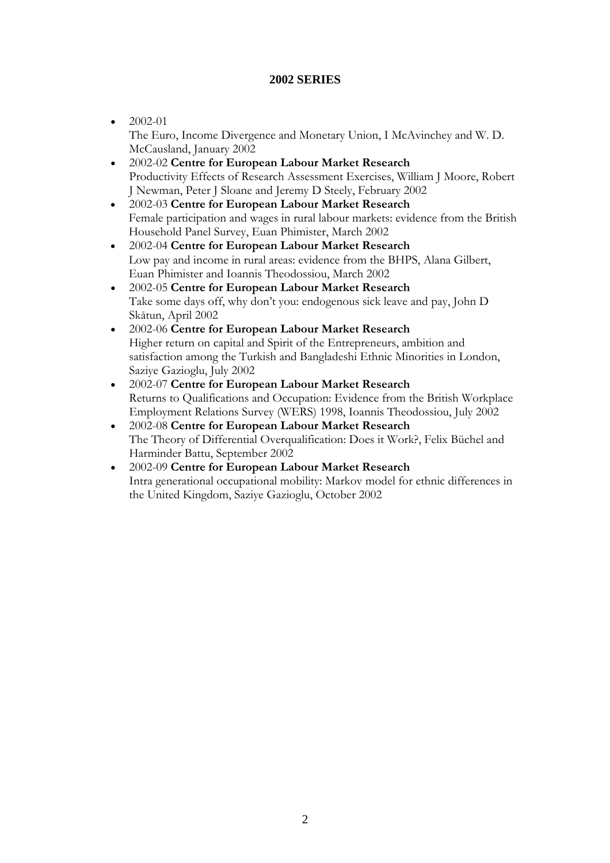### **2002 SERIES**

- $\bullet$  2002-01 The Euro, Income Divergence and Monetary Union, I McAvinchey and W. D. McCausland, January 2002
- 2002-02 **Centre for European Labour Market Research** Productivity Effects of Research Assessment Exercises, William J Moore, Robert J Newman, Peter J Sloane and Jeremy D Steely, February 2002
- 2002-03 **Centre for European Labour Market Research** Female participation and wages in rural labour markets: evidence from the British Household Panel Survey, Euan Phimister, March 2002
- 2002-04 **Centre for European Labour Market Research** Low pay and income in rural areas: evidence from the BHPS, Alana Gilbert, Euan Phimister and Ioannis Theodossiou, March 2002
- 2002-05 **Centre for European Labour Market Research** Take some days off, why don't you: endogenous sick leave and pay, John D Skåtun, April 2002
- 2002-06 **Centre for European Labour Market Research** Higher return on capital and Spirit of the Entrepreneurs, ambition and satisfaction among the Turkish and Bangladeshi Ethnic Minorities in London, Saziye Gazioglu, July 2002
- 2002-07 **Centre for European Labour Market Research** Returns to Qualifications and Occupation: Evidence from the British Workplace Employment Relations Survey (WERS) 1998, Ioannis Theodossiou, July 2002
- 2002-08 **Centre for European Labour Market Research** The Theory of Differential Overqualification: Does it Work?, Felix Büchel and Harminder Battu, September 2002
- 2002-09 **Centre for European Labour Market Research** Intra generational occupational mobility: Markov model for ethnic differences in the United Kingdom, Saziye Gazioglu, October 2002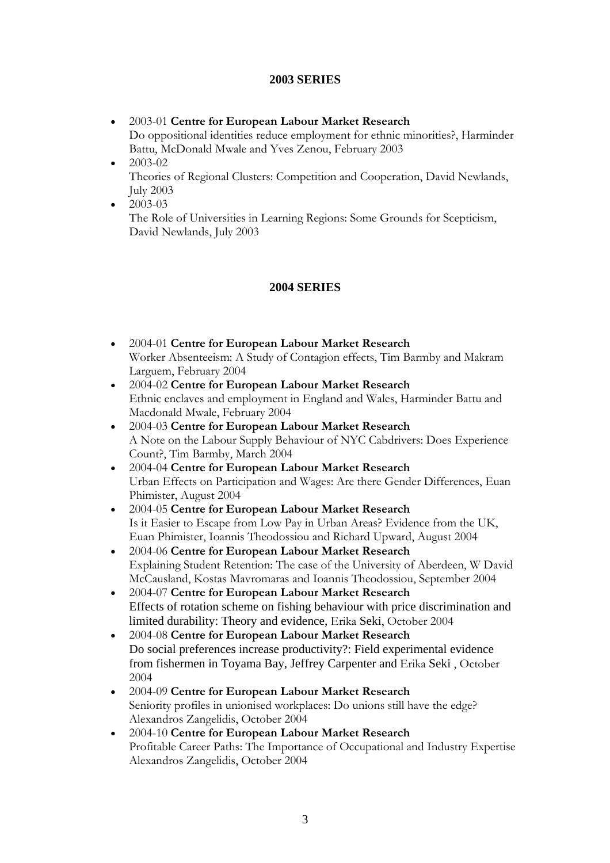### **2003 SERIES**

- 2003-01 **Centre for European Labour Market Research** Do oppositional identities reduce employment for ethnic minorities?, Harminder Battu, McDonald Mwale and Yves Zenou, February 2003
- 2003-02 Theories of Regional Clusters: Competition and Cooperation, David Newlands, July 2003
- $\bullet$  2003-03 The Role of Universities in Learning Regions: Some Grounds for Scepticism, David Newlands, July 2003

### **2004 SERIES**

- 2004-01 **Centre for European Labour Market Research** Worker Absenteeism: A Study of Contagion effects, Tim Barmby and Makram Larguem, February 2004
- 2004-02 **Centre for European Labour Market Research** Ethnic enclaves and employment in England and Wales, Harminder Battu and Macdonald Mwale, February 2004
- 2004-03 **Centre for European Labour Market Research** A Note on the Labour Supply Behaviour of NYC Cabdrivers: Does Experience Count?, Tim Barmby, March 2004
- 2004-04 **Centre for European Labour Market Research** Urban Effects on Participation and Wages: Are there Gender Differences, Euan Phimister, August 2004
- 2004-05 **Centre for European Labour Market Research** Is it Easier to Escape from Low Pay in Urban Areas? Evidence from the UK, Euan Phimister, Ioannis Theodossiou and Richard Upward, August 2004
- 2004-06 **Centre for European Labour Market Research** Explaining Student Retention: The case of the University of Aberdeen, W David McCausland, Kostas Mavromaras and Ioannis Theodossiou, September 2004
- 2004-07 **Centre for European Labour Market Research** Effects of rotation scheme on fishing behaviour with price discrimination and limited durability: Theory and evidence, Erika Seki, October 2004
- 2004-08 **Centre for European Labour Market Research** Do social preferences increase productivity?: Field experimental evidence from fishermen in Toyama Bay, Jeffrey Carpenter and Erika Seki , October 2004
- 2004-09 **Centre for European Labour Market Research**  Seniority profiles in unionised workplaces: Do unions still have the edge? Alexandros Zangelidis, October 2004
- 2004-10 **Centre for European Labour Market Research**  Profitable Career Paths: The Importance of Occupational and Industry Expertise Alexandros Zangelidis, October 2004